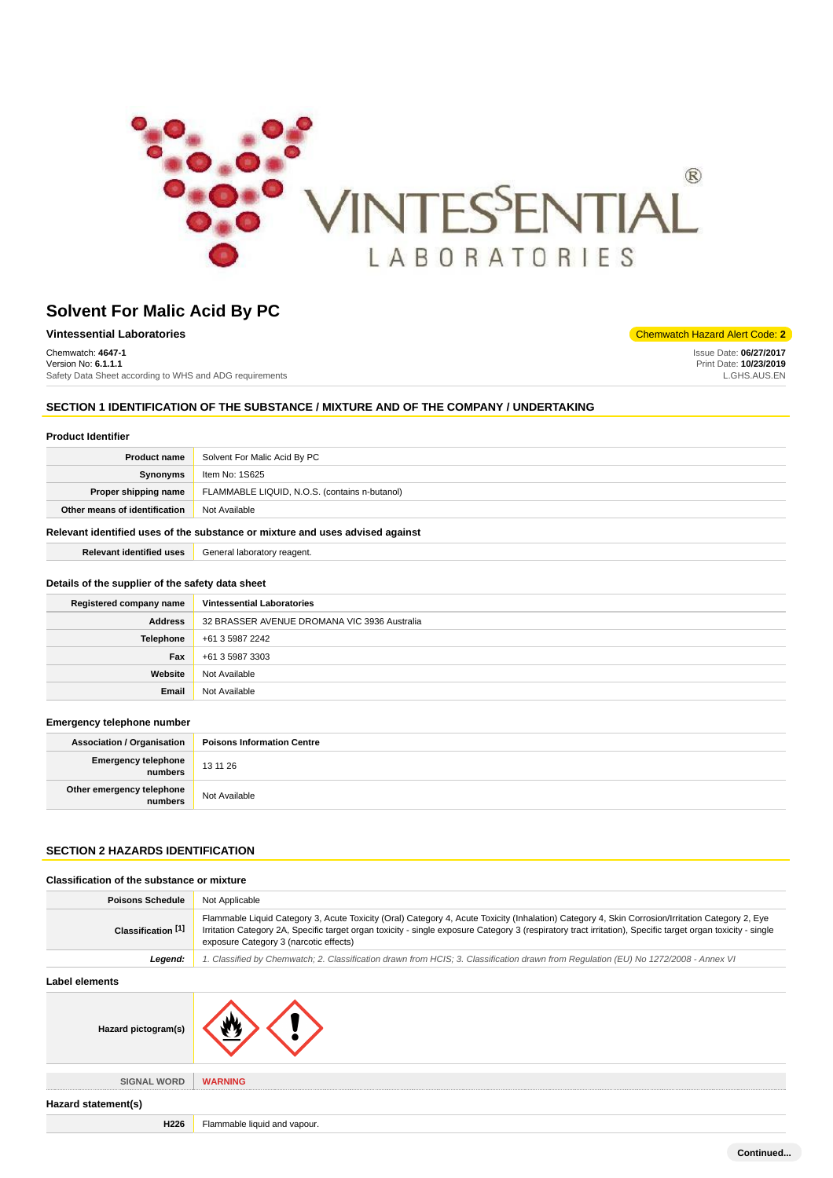

Chemwatch: **4647-1** Version No: **6.1.1.1** Safety Data Sheet according to WHS and ADG requirements

**Vintessential Laboratories** Chemwatch Hazard Alert Code: **2** 

Issue Date: **06/27/2017** Print Date: **10/23/2019** L.GHS.AUS.EN

# **SECTION 1 IDENTIFICATION OF THE SUBSTANCE / MIXTURE AND OF THE COMPANY / UNDERTAKING**

## **Product Identifier**

| <b>Product name</b>                                                           | Solvent For Malic Acid By PC                  |
|-------------------------------------------------------------------------------|-----------------------------------------------|
| Synonyms                                                                      | Item No: 1S625                                |
| Proper shipping name                                                          | FLAMMABLE LIQUID, N.O.S. (contains n-butanol) |
| Other means of identification                                                 | Not Available                                 |
| Relevant identified uses of the substance or mixture and uses advised against |                                               |

**Relevant identified uses** General laboratory reagent.

#### **Details of the supplier of the safety data sheet**

| Registered company name | <b>Vintessential Laboratories</b>            |
|-------------------------|----------------------------------------------|
| <b>Address</b>          | 32 BRASSER AVENUE DROMANA VIC 3936 Australia |
| <b>Telephone</b>        | +61 3 5987 2242                              |
| Fax                     | +61 3 5987 3303                              |
| Website                 | Not Available                                |
| Email                   | Not Available                                |

#### **Emergency telephone number**

| <b>Association / Organisation</b>    | <b>Poisons Information Centre</b> |
|--------------------------------------|-----------------------------------|
| Emergency telephone<br>numbers       | 13 11 26                          |
| Other emergency telephone<br>numbers | Not Available                     |

# **SECTION 2 HAZARDS IDENTIFICATION**

| Classification of the substance or mixture |                                                                                                                                                                                                                                                                                                                                                           |
|--------------------------------------------|-----------------------------------------------------------------------------------------------------------------------------------------------------------------------------------------------------------------------------------------------------------------------------------------------------------------------------------------------------------|
| <b>Poisons Schedule</b>                    | Not Applicable                                                                                                                                                                                                                                                                                                                                            |
| Classification <sup>[1]</sup>              | Flammable Liquid Category 3, Acute Toxicity (Oral) Category 4, Acute Toxicity (Inhalation) Category 4, Skin Corrosion/Irritation Category 2, Eye<br>Irritation Category 2A, Specific target organ toxicity - single exposure Category 3 (respiratory tract irritation), Specific target organ toxicity - single<br>exposure Category 3 (narcotic effects) |
| Legend:                                    | 1. Classified by Chemwatch; 2. Classification drawn from HCIS; 3. Classification drawn from Regulation (EU) No 1272/2008 - Annex VI                                                                                                                                                                                                                       |
| Label elements                             |                                                                                                                                                                                                                                                                                                                                                           |
| Hazard pictogram(s)                        |                                                                                                                                                                                                                                                                                                                                                           |
| <b>SIGNAL WORD</b>                         | <b>WARNING</b>                                                                                                                                                                                                                                                                                                                                            |

**Hazard statement(s)**

**H226** Flammable liquid and vapour.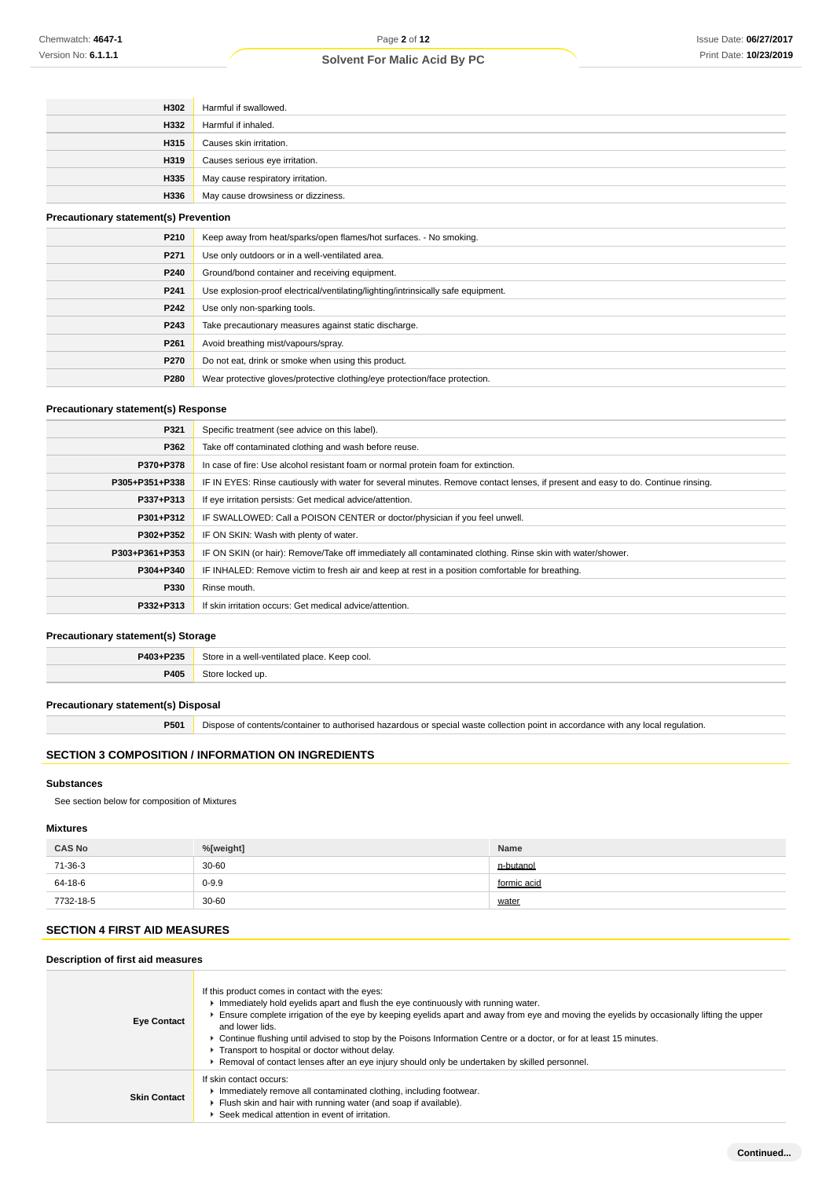| H302                                         | Harmful if swallowed.                                                             |
|----------------------------------------------|-----------------------------------------------------------------------------------|
| H332                                         | Harmful if inhaled.                                                               |
| H315                                         | Causes skin irritation.                                                           |
| H319                                         | Causes serious eye irritation.                                                    |
| H335                                         | May cause respiratory irritation.                                                 |
| H336                                         | May cause drowsiness or dizziness.                                                |
| <b>Precautionary statement(s) Prevention</b> |                                                                                   |
| P210                                         | Keep away from heat/sparks/open flames/hot surfaces. - No smoking.                |
| P271                                         | Use only outdoors or in a well-ventilated area.                                   |
| P240                                         | Ground/bond container and receiving equipment.                                    |
| P241                                         | Use explosion-proof electrical/ventilating/lighting/intrinsically safe equipment. |
| P242                                         | Use only non-sparking tools.                                                      |
| P243                                         | Take precautionary measures against static discharge.                             |
| P261                                         | Avoid breathing mist/vapours/spray.                                               |
| P270                                         | Do not eat, drink or smoke when using this product.                               |
| P280                                         | Wear protective gloves/protective clothing/eye protection/face protection.        |

### **Precautionary statement(s) Response**

| P321           | Specific treatment (see advice on this label).                                                                                   |
|----------------|----------------------------------------------------------------------------------------------------------------------------------|
| P362           | Take off contaminated clothing and wash before reuse.                                                                            |
| P370+P378      | In case of fire: Use alcohol resistant foam or normal protein foam for extinction.                                               |
| P305+P351+P338 | IF IN EYES: Rinse cautiously with water for several minutes. Remove contact lenses, if present and easy to do. Continue rinsing. |
| P337+P313      | If eye irritation persists: Get medical advice/attention.                                                                        |
| P301+P312      | IF SWALLOWED: Call a POISON CENTER or doctor/physician if you feel unwell.                                                       |
| P302+P352      | IF ON SKIN: Wash with plenty of water.                                                                                           |
| P303+P361+P353 | IF ON SKIN (or hair): Remove/Take off immediately all contaminated clothing. Rinse skin with water/shower.                       |
| P304+P340      | IF INHALED: Remove victim to fresh air and keep at rest in a position comfortable for breathing.                                 |
| P330           | Rinse mouth.                                                                                                                     |
| P332+P313      | If skin irritation occurs: Get medical advice/attention.                                                                         |

### **Precautionary statement(s) Storage**

| P403+P235 | Store in a<br>게-ventilated place. Keep cool.<br>5.110<br>we |
|-----------|-------------------------------------------------------------|
| P405      | C <sub>tor</sub><br>l un                                    |

## **Precautionary statement(s) Disposal**

**P501** Dispose of contents/container to authorised hazardous or special waste collection point in accordance with any local regulation.

# **SECTION 3 COMPOSITION / INFORMATION ON INGREDIENTS**

#### **Substances**

See section below for composition of Mixtures

### **Mixtures**

| <b>CAS No</b> | %[weight] | Name        |
|---------------|-----------|-------------|
| 71-36-3       | $30 - 60$ | n-butanol   |
| 64-18-6       | $0 - 9.9$ | formic acid |
| 7732-18-5     | 30-60     | water       |

# **SECTION 4 FIRST AID MEASURES**

# **Description of first aid measures**

| <b>Eye Contact</b>  | If this product comes in contact with the eyes:<br>Immediately hold eyelids apart and flush the eye continuously with running water.<br>Ensure complete irrigation of the eye by keeping eyelids apart and away from eye and moving the eyelids by occasionally lifting the upper<br>and lower lids.<br>► Continue flushing until advised to stop by the Poisons Information Centre or a doctor, or for at least 15 minutes.<br>Transport to hospital or doctor without delay.<br>► Removal of contact lenses after an eye injury should only be undertaken by skilled personnel. |
|---------------------|-----------------------------------------------------------------------------------------------------------------------------------------------------------------------------------------------------------------------------------------------------------------------------------------------------------------------------------------------------------------------------------------------------------------------------------------------------------------------------------------------------------------------------------------------------------------------------------|
| <b>Skin Contact</b> | If skin contact occurs:<br>Immediately remove all contaminated clothing, including footwear.<br>Flush skin and hair with running water (and soap if available).<br>Seek medical attention in event of irritation.                                                                                                                                                                                                                                                                                                                                                                 |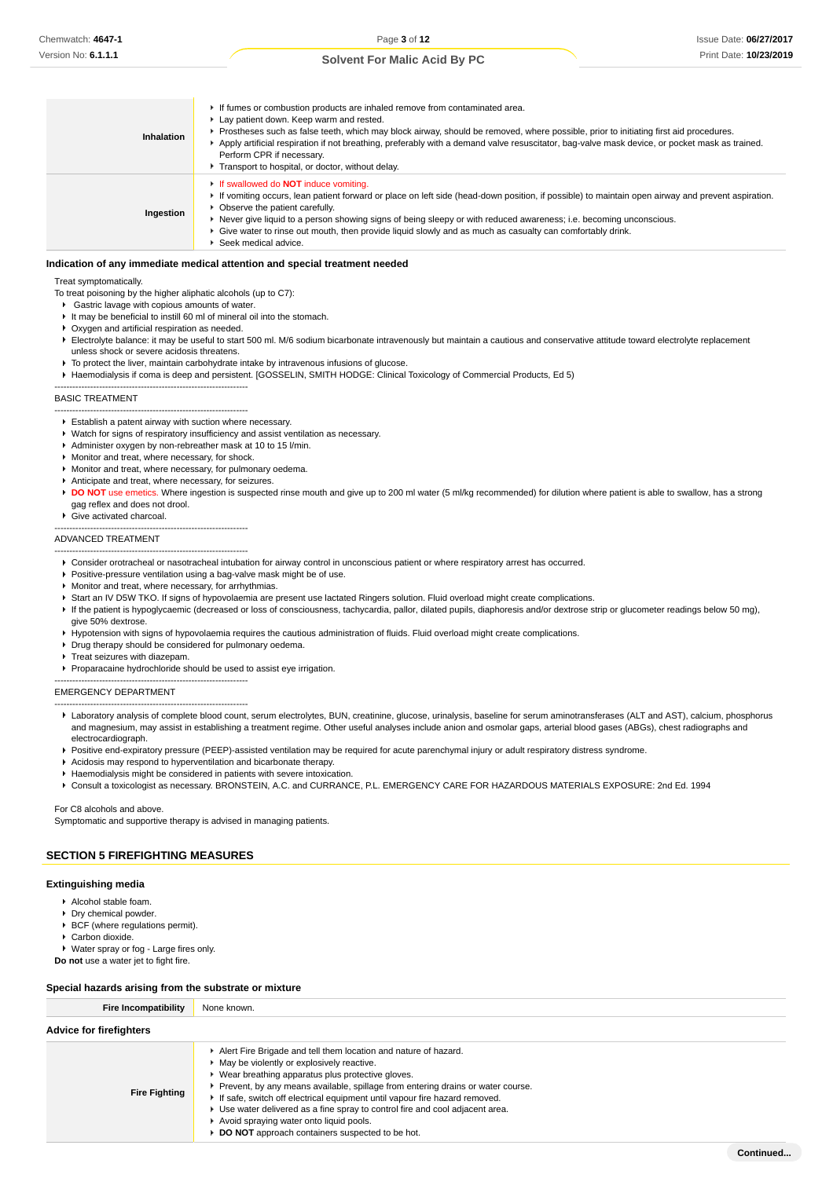Issue Date: **06/27/2017** Print Date: **10/23/2019**

### **Solvent For Malic Acid By PC**

| Inhalation | If fumes or combustion products are inhaled remove from contaminated area.<br>Lay patient down. Keep warm and rested.<br>▶ Prostheses such as false teeth, which may block airway, should be removed, where possible, prior to initiating first aid procedures.<br>Apply artificial respiration if not breathing, preferably with a demand valve resuscitator, bag-valve mask device, or pocket mask as trained.<br>Perform CPR if necessary.<br>Transport to hospital, or doctor, without delay.  |
|------------|----------------------------------------------------------------------------------------------------------------------------------------------------------------------------------------------------------------------------------------------------------------------------------------------------------------------------------------------------------------------------------------------------------------------------------------------------------------------------------------------------|
| Ingestion  | <b>If swallowed do NOT induce vomiting.</b><br>If vomiting occurs, lean patient forward or place on left side (head-down position, if possible) to maintain open airway and prevent aspiration.<br>• Observe the patient carefully.<br>► Never give liquid to a person showing signs of being sleepy or with reduced awareness; i.e. becoming unconscious.<br>► Give water to rinse out mouth, then provide liquid slowly and as much as casualty can comfortably drink.<br>▶ Seek medical advice. |

#### **Indication of any immediate medical attention and special treatment needed**

Treat symptomatically.

- To treat poisoning by the higher aliphatic alcohols (up to C7):
- Gastric lavage with copious amounts of water.
- It may be beneficial to instill 60 ml of mineral oil into the stomach. Oxygen and artificial respiration as needed.
- Electrolyte balance: it may be useful to start 500 ml. M/6 sodium bicarbonate intravenously but maintain a cautious and conservative attitude toward electrolyte replacement
- unless shock or severe acidosis threatens.

-----------------------------------------------------------------

- $\blacktriangleright$  To protect the liver, maintain carbohydrate intake by intravenous infusions of glucose.
- Haemodialysis if coma is deep and persistent. [GOSSELIN, SMITH HODGE: Clinical Toxicology of Commercial Products, Ed 5)

#### BASIC TREATMENT

- ----------------------------------------------------------------- Establish a patent airway with suction where necessary.
- Watch for signs of respiratory insufficiency and assist ventilation as necessary.
- Administer oxygen by non-rebreather mask at 10 to 15 l/min.
- Monitor and treat, where necessary, for shock.
- Monitor and treat, where necessary, for pulmonary oedema.
- Anticipate and treat, where necessary, for seizures.
- **DO NOT** use emetics. Where ingestion is suspected rinse mouth and give up to 200 ml water (5 ml/kg recommended) for dilution where patient is able to swallow, has a strong gag reflex and does not drool.
- Give activated charcoal.
- -----------------------------------------------------------------

#### ADVANCED TREATMENT -----------------------------------------------------------------

- Consider orotracheal or nasotracheal intubation for airway control in unconscious patient or where respiratory arrest has occurred.
- **Positive-pressure ventilation using a bag-valve mask might be of use.**
- Monitor and treat, where necessary, for arrhythmias.
- ▶ Start an IV D5W TKO. If signs of hypovolaemia are present use lactated Ringers solution. Fluid overload might create complications.
- If the patient is hypoglycaemic (decreased or loss of consciousness, tachycardia, pallor, dilated pupils, diaphoresis and/or dextrose strip or glucometer readings below 50 mg),
- give 50% dextrose
- Hypotension with signs of hypovolaemia requires the cautious administration of fluids. Fluid overload might create complications.
- Drug therapy should be considered for pulmonary oedema.

-----------------------------------------------------------------

-----------------------------------------------------------------

- Treat seizures with diazepam.
- **Proparacaine hydrochloride should be used to assist eve irrigation.**

#### EMERGENCY DEPARTMENT

- Laboratory analysis of complete blood count, serum electrolytes, BUN, creatinine, glucose, urinalysis, baseline for serum aminotransferases (ALT and AST), calcium, phosphorus and magnesium, may assist in establishing a treatment regime. Other useful analyses include anion and osmolar gaps, arterial blood gases (ABGs), chest radiographs and electrocardiograph.
- ▶ Positive end-expiratory pressure (PEEP)-assisted ventilation may be required for acute parenchymal injury or adult respiratory distress syndrome.
- Acidosis may respond to hyperventilation and bicarbonate therapy.
- Haemodialysis might be considered in patients with severe intoxication.
- Consult a toxicologist as necessary. BRONSTEIN, A.C. and CURRANCE, P.L. EMERGENCY CARE FOR HAZARDOUS MATERIALS EXPOSURE: 2nd Ed. 1994

#### For C8 alcohols and above.

Symptomatic and supportive therapy is advised in managing patients.

### **SECTION 5 FIREFIGHTING MEASURES**

#### **Extinguishing media**

- Alcohol stable foam.
- ▶ Dry chemical powder.
- BCF (where regulations permit).
- Carbon dioxide.
- Water spray or fog Large fires only.
- **Do not** use a water jet to fight fire.

#### **Special hazards arising from the substrate or mixture**

| <b>Fire Incompatibility</b>    | None known.                                                                                                                                                                                                                                                                                                                                                                                                                                                                                                                 |
|--------------------------------|-----------------------------------------------------------------------------------------------------------------------------------------------------------------------------------------------------------------------------------------------------------------------------------------------------------------------------------------------------------------------------------------------------------------------------------------------------------------------------------------------------------------------------|
| <b>Advice for firefighters</b> |                                                                                                                                                                                                                                                                                                                                                                                                                                                                                                                             |
| <b>Fire Fighting</b>           | Alert Fire Brigade and tell them location and nature of hazard.<br>• May be violently or explosively reactive.<br>▶ Wear breathing apparatus plus protective gloves.<br>► Prevent, by any means available, spillage from entering drains or water course.<br>If safe, switch off electrical equipment until vapour fire hazard removed.<br>Use water delivered as a fine spray to control fire and cool adjacent area.<br>Avoid spraying water onto liquid pools.<br><b>DO NOT</b> approach containers suspected to be hot. |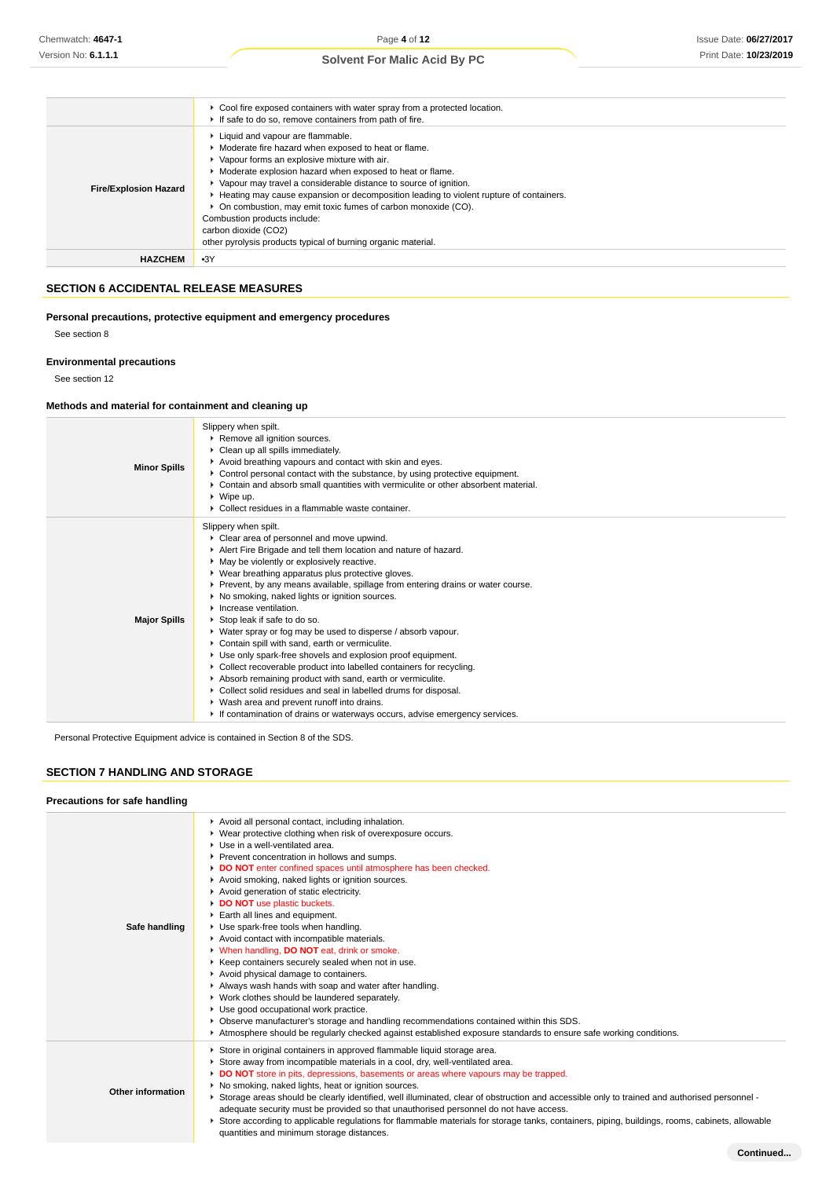|                              | ► Cool fire exposed containers with water spray from a protected location.<br>If safe to do so, remove containers from path of fire.                                                                                                                                                                                                                                                                                                                                                                                                                                  |
|------------------------------|-----------------------------------------------------------------------------------------------------------------------------------------------------------------------------------------------------------------------------------------------------------------------------------------------------------------------------------------------------------------------------------------------------------------------------------------------------------------------------------------------------------------------------------------------------------------------|
| <b>Fire/Explosion Hazard</b> | Liquid and vapour are flammable.<br>• Moderate fire hazard when exposed to heat or flame.<br>• Vapour forms an explosive mixture with air.<br>• Moderate explosion hazard when exposed to heat or flame.<br>• Vapour may travel a considerable distance to source of ignition.<br>► Heating may cause expansion or decomposition leading to violent rupture of containers.<br>• On combustion, may emit toxic fumes of carbon monoxide (CO).<br>Combustion products include:<br>carbon dioxide (CO2)<br>other pyrolysis products typical of burning organic material. |
| <b>HAZCHEM</b>               | $-3Y$                                                                                                                                                                                                                                                                                                                                                                                                                                                                                                                                                                 |

# **SECTION 6 ACCIDENTAL RELEASE MEASURES**

**Personal precautions, protective equipment and emergency procedures**

See section 8

### **Environmental precautions**

See section 12

# **Methods and material for containment and cleaning up**

| <b>Minor Spills</b> | Slippery when spilt.<br>Remove all ignition sources.<br>Clean up all spills immediately.<br>Avoid breathing vapours and contact with skin and eyes.<br>Control personal contact with the substance, by using protective equipment.<br>Contain and absorb small quantities with vermiculite or other absorbent material.<br>$\triangleright$ Wipe up.<br>• Collect residues in a flammable waste container.                                                                                                                                                                                                                                                                                                                                                                                                                                                                                                                                                      |
|---------------------|-----------------------------------------------------------------------------------------------------------------------------------------------------------------------------------------------------------------------------------------------------------------------------------------------------------------------------------------------------------------------------------------------------------------------------------------------------------------------------------------------------------------------------------------------------------------------------------------------------------------------------------------------------------------------------------------------------------------------------------------------------------------------------------------------------------------------------------------------------------------------------------------------------------------------------------------------------------------|
| <b>Major Spills</b> | Slippery when spilt.<br>Clear area of personnel and move upwind.<br>Alert Fire Brigade and tell them location and nature of hazard.<br>• May be violently or explosively reactive.<br>▶ Wear breathing apparatus plus protective gloves.<br>▶ Prevent, by any means available, spillage from entering drains or water course.<br>▶ No smoking, naked lights or ignition sources.<br>Increase ventilation.<br>Stop leak if safe to do so.<br>▶ Water spray or fog may be used to disperse / absorb vapour.<br>Contain spill with sand, earth or vermiculite.<br>Use only spark-free shovels and explosion proof equipment.<br>▶ Collect recoverable product into labelled containers for recycling.<br>Absorb remaining product with sand, earth or vermiculite.<br>Collect solid residues and seal in labelled drums for disposal.<br>▶ Wash area and prevent runoff into drains.<br>If contamination of drains or waterways occurs, advise emergency services. |

Personal Protective Equipment advice is contained in Section 8 of the SDS.

# **SECTION 7 HANDLING AND STORAGE**

### **Precautions for safe handling**

| Safe handling     | Avoid all personal contact, including inhalation.<br>▶ Wear protective clothing when risk of overexposure occurs.<br>▶ Use in a well-ventilated area.<br>Prevent concentration in hollows and sumps.<br>DO NOT enter confined spaces until atmosphere has been checked.<br>Avoid smoking, naked lights or ignition sources.<br>Avoid generation of static electricity.<br>DO NOT use plastic buckets.<br>Earth all lines and equipment.<br>Use spark-free tools when handling.<br>Avoid contact with incompatible materials.<br>V When handling, DO NOT eat, drink or smoke.<br>▶ Keep containers securely sealed when not in use.<br>Avoid physical damage to containers.<br>Always wash hands with soap and water after handling.<br>• Work clothes should be laundered separately.<br>Use good occupational work practice.<br>▶ Observe manufacturer's storage and handling recommendations contained within this SDS.<br>Atmosphere should be regularly checked against established exposure standards to ensure safe working conditions. |
|-------------------|-----------------------------------------------------------------------------------------------------------------------------------------------------------------------------------------------------------------------------------------------------------------------------------------------------------------------------------------------------------------------------------------------------------------------------------------------------------------------------------------------------------------------------------------------------------------------------------------------------------------------------------------------------------------------------------------------------------------------------------------------------------------------------------------------------------------------------------------------------------------------------------------------------------------------------------------------------------------------------------------------------------------------------------------------|
| Other information | Store in original containers in approved flammable liquid storage area.<br>Store away from incompatible materials in a cool, dry, well-ventilated area.<br>DO NOT store in pits, depressions, basements or areas where vapours may be trapped.<br>▶ No smoking, naked lights, heat or ignition sources.<br>► Storage areas should be clearly identified, well illuminated, clear of obstruction and accessible only to trained and authorised personnel -<br>adequate security must be provided so that unauthorised personnel do not have access.<br>▶ Store according to applicable regulations for flammable materials for storage tanks, containers, piping, buildings, rooms, cabinets, allowable<br>quantities and minimum storage distances.                                                                                                                                                                                                                                                                                           |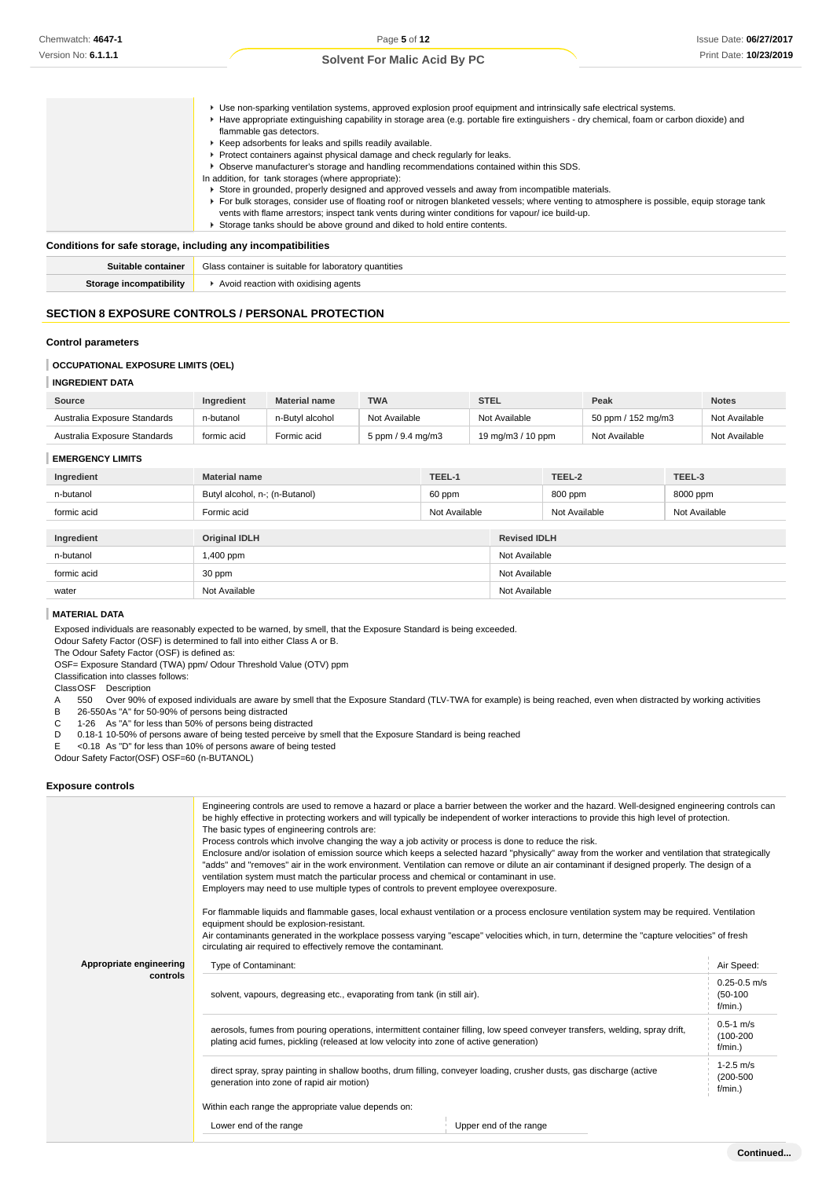| ▶ Use non-sparking ventilation systems, approved explosion proof equipment and intrinsically safe electrical systems.<br>▶ Have appropriate extinguishing capability in storage area (e.g. portable fire extinguishers - dry chemical, foam or carbon dioxide) and |
|--------------------------------------------------------------------------------------------------------------------------------------------------------------------------------------------------------------------------------------------------------------------|
| flammable gas detectors.                                                                                                                                                                                                                                           |
| ▶ Keep adsorbents for leaks and spills readily available.                                                                                                                                                                                                          |
| ▶ Protect containers against physical damage and check regularly for leaks.                                                                                                                                                                                        |
| ▶ Observe manufacturer's storage and handling recommendations contained within this SDS.                                                                                                                                                                           |
| In addition, for tank storages (where appropriate):                                                                                                                                                                                                                |
| Store in grounded, properly designed and approved vessels and away from incompatible materials.                                                                                                                                                                    |
| For bulk storages, consider use of floating roof or nitrogen blanketed vessels; where venting to atmosphere is possible, equip storage tank                                                                                                                        |
| vents with flame arrestors; inspect tank vents during winter conditions for vapour/ ice build-up.                                                                                                                                                                  |
| Storage tanks should be above ground and diked to hold entire contents.                                                                                                                                                                                            |

### **Conditions for safe storage, including any incompatibilities**

| Suitable container      | Glass container is suitable for laboratory quantities |
|-------------------------|-------------------------------------------------------|
| Storage incompatibility | Avoid reaction with oxidising agents                  |

## **SECTION 8 EXPOSURE CONTROLS / PERSONAL PROTECTION**

### **Control parameters**

### **OCCUPATIONAL EXPOSURE LIMITS (OEL)**

### **INGREDIENT DATA**

| Source                       | Ingredient  | <b>Material name</b> | <b>TWA</b>          | <b>STEL</b>       | Peak               | <b>Notes</b>  |
|------------------------------|-------------|----------------------|---------------------|-------------------|--------------------|---------------|
| Australia Exposure Standards | n-butanol   | n-Butyl alcohol      | Not Available       | Not Available     | 50 ppm / 152 mg/m3 | Not Available |
| Australia Exposure Standards | formic acid | Formic acid          | 5 ppm $/$ 9.4 mg/m3 | 19 mg/m3 / 10 ppm | Not Available      | Not Available |

### **EMERGENCY LIMITS**

| Ingredient  | <b>Material name</b>           | TEEL-1        |               | TEEL-2              | TEEL-3        |  |
|-------------|--------------------------------|---------------|---------------|---------------------|---------------|--|
| n-butanol   | Butyl alcohol, n-; (n-Butanol) | 60 ppm        |               | 800 ppm             | 8000 ppm      |  |
| formic acid | Formic acid                    | Not Available |               | Not Available       | Not Available |  |
|             |                                |               |               |                     |               |  |
| Ingredient  | <b>Original IDLH</b>           |               |               | <b>Revised IDLH</b> |               |  |
| n-butanol   | 1,400 ppm                      |               | Not Available |                     |               |  |
| formic acid | 30 ppm                         |               | Not Available |                     |               |  |
| water       | Not Available                  |               | Not Available |                     |               |  |

#### **MATERIAL DATA**

Exposed individuals are reasonably expected to be warned, by smell, that the Exposure Standard is being exceeded.

Odour Safety Factor (OSF) is determined to fall into either Class A or B.

The Odour Safety Factor (OSF) is defined as:

OSF= Exposure Standard (TWA) ppm/ Odour Threshold Value (OTV) ppm

Classification into classes follows:

ClassOSF Description

- A 550 Over 90% of exposed individuals are aware by smell that the Exposure Standard (TLV-TWA for example) is being reached, even when distracted by working activities<br>B 26-550 As "A" for 50-90% of persons being distracted
- 26-550 As "A" for 50-90% of persons being distracted

C 1-26 As "A" for less than 50% of persons being distracted

- D 0.18-1 10-50% of persons aware of being tested perceive by smell that the Exposure Standard is being reached<br>E <0.18 As "D" for less than 10% of persons aware of being tested
- E <0.18 As "D" for less than 10% of persons aware of being tested

Odour Safety Factor(OSF) OSF=60 (n-BUTANOL)

#### **Exposure controls**

|                         | Engineering controls are used to remove a hazard or place a barrier between the worker and the hazard. Well-designed engineering controls can<br>be highly effective in protecting workers and will typically be independent of worker interactions to provide this high level of protection.<br>The basic types of engineering controls are:<br>Process controls which involve changing the way a job activity or process is done to reduce the risk.<br>Enclosure and/or isolation of emission source which keeps a selected hazard "physically" away from the worker and ventilation that strategically<br>"adds" and "removes" air in the work environment. Ventilation can remove or dilute an air contaminant if designed properly. The design of a<br>ventilation system must match the particular process and chemical or contaminant in use.<br>Employers may need to use multiple types of controls to prevent employee overexposure.<br>For flammable liquids and flammable gases, local exhaust ventilation or a process enclosure ventilation system may be required. Ventilation<br>equipment should be explosion-resistant.<br>Air contaminants generated in the workplace possess varying "escape" velocities which, in turn, determine the "capture velocities" of fresh<br>circulating air required to effectively remove the contaminant. |                                              |  |  |  |
|-------------------------|--------------------------------------------------------------------------------------------------------------------------------------------------------------------------------------------------------------------------------------------------------------------------------------------------------------------------------------------------------------------------------------------------------------------------------------------------------------------------------------------------------------------------------------------------------------------------------------------------------------------------------------------------------------------------------------------------------------------------------------------------------------------------------------------------------------------------------------------------------------------------------------------------------------------------------------------------------------------------------------------------------------------------------------------------------------------------------------------------------------------------------------------------------------------------------------------------------------------------------------------------------------------------------------------------------------------------------------------------------------|----------------------------------------------|--|--|--|
| Appropriate engineering | Type of Contaminant:                                                                                                                                                                                                                                                                                                                                                                                                                                                                                                                                                                                                                                                                                                                                                                                                                                                                                                                                                                                                                                                                                                                                                                                                                                                                                                                                         | Air Speed:                                   |  |  |  |
| controls                | solvent, vapours, degreasing etc., evaporating from tank (in still air).                                                                                                                                                                                                                                                                                                                                                                                                                                                                                                                                                                                                                                                                                                                                                                                                                                                                                                                                                                                                                                                                                                                                                                                                                                                                                     | $0.25 - 0.5$ m/s<br>$(50-100)$<br>f/min.)    |  |  |  |
|                         | aerosols, fumes from pouring operations, intermittent container filling, low speed conveyer transfers, welding, spray drift,<br>plating acid fumes, pickling (released at low velocity into zone of active generation)                                                                                                                                                                                                                                                                                                                                                                                                                                                                                                                                                                                                                                                                                                                                                                                                                                                                                                                                                                                                                                                                                                                                       | $0.5 - 1$ m/s<br>$(100 - 200)$<br>$f/min.$ ) |  |  |  |
|                         | direct spray, spray painting in shallow booths, drum filling, conveyer loading, crusher dusts, gas discharge (active<br>generation into zone of rapid air motion)                                                                                                                                                                                                                                                                                                                                                                                                                                                                                                                                                                                                                                                                                                                                                                                                                                                                                                                                                                                                                                                                                                                                                                                            | $1-2.5$ m/s<br>$(200 - 500)$<br>$f/min.$ )   |  |  |  |
|                         | Within each range the appropriate value depends on:                                                                                                                                                                                                                                                                                                                                                                                                                                                                                                                                                                                                                                                                                                                                                                                                                                                                                                                                                                                                                                                                                                                                                                                                                                                                                                          |                                              |  |  |  |
|                         | Lower end of the range<br>Upper end of the range                                                                                                                                                                                                                                                                                                                                                                                                                                                                                                                                                                                                                                                                                                                                                                                                                                                                                                                                                                                                                                                                                                                                                                                                                                                                                                             |                                              |  |  |  |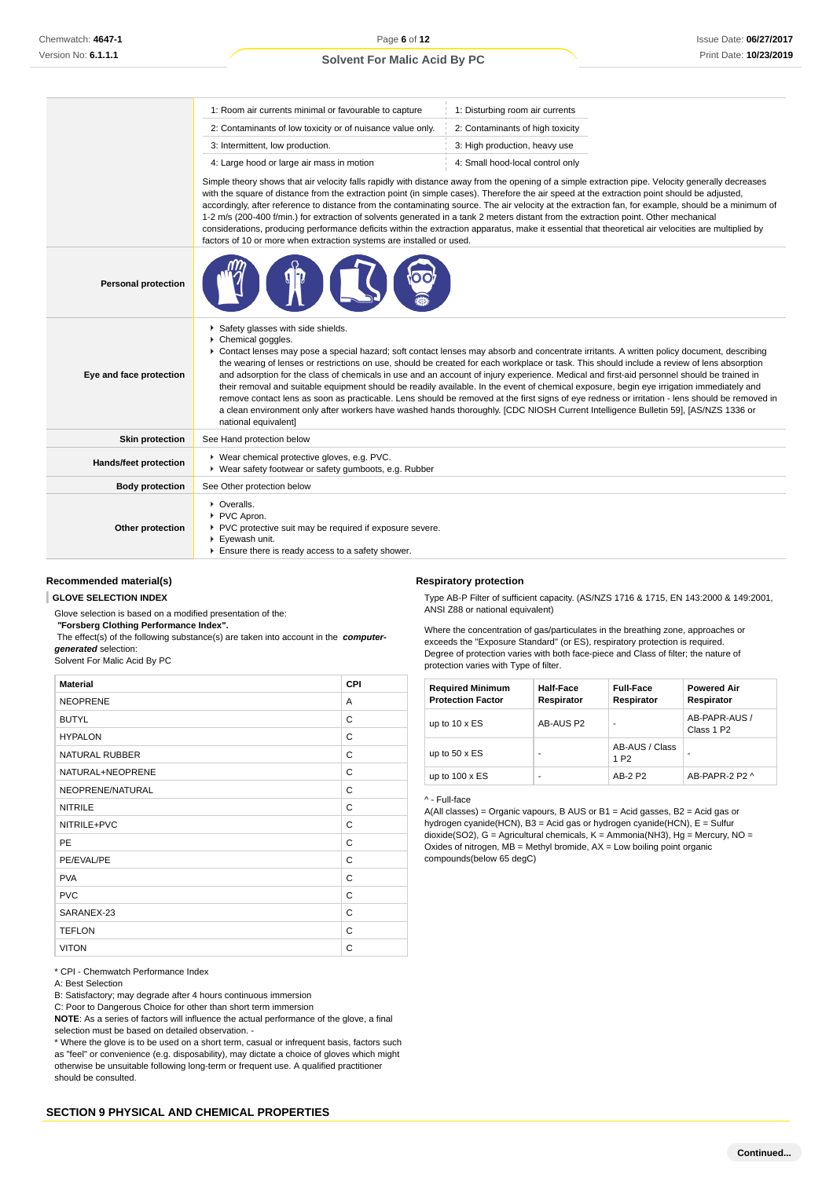|                            | 1: Room air currents minimal or favourable to capture                                                                                                                                                                                                                                                                                                                                                                                                                                                                                                                                                                                                                                                                                                                                                                                                                                                                                                           | 1: Disturbing room air currents                                                                                                                                                                                                                                                                                                                                                                                                                                                                                                                                                                                                                                                                                                                         |  |  |  |  |
|----------------------------|-----------------------------------------------------------------------------------------------------------------------------------------------------------------------------------------------------------------------------------------------------------------------------------------------------------------------------------------------------------------------------------------------------------------------------------------------------------------------------------------------------------------------------------------------------------------------------------------------------------------------------------------------------------------------------------------------------------------------------------------------------------------------------------------------------------------------------------------------------------------------------------------------------------------------------------------------------------------|---------------------------------------------------------------------------------------------------------------------------------------------------------------------------------------------------------------------------------------------------------------------------------------------------------------------------------------------------------------------------------------------------------------------------------------------------------------------------------------------------------------------------------------------------------------------------------------------------------------------------------------------------------------------------------------------------------------------------------------------------------|--|--|--|--|
|                            | 2: Contaminants of low toxicity or of nuisance value only.                                                                                                                                                                                                                                                                                                                                                                                                                                                                                                                                                                                                                                                                                                                                                                                                                                                                                                      | 2: Contaminants of high toxicity                                                                                                                                                                                                                                                                                                                                                                                                                                                                                                                                                                                                                                                                                                                        |  |  |  |  |
|                            | 3: Intermittent, low production.<br>3: High production, heavy use                                                                                                                                                                                                                                                                                                                                                                                                                                                                                                                                                                                                                                                                                                                                                                                                                                                                                               |                                                                                                                                                                                                                                                                                                                                                                                                                                                                                                                                                                                                                                                                                                                                                         |  |  |  |  |
|                            | 4: Large hood or large air mass in motion<br>4: Small hood-local control only                                                                                                                                                                                                                                                                                                                                                                                                                                                                                                                                                                                                                                                                                                                                                                                                                                                                                   |                                                                                                                                                                                                                                                                                                                                                                                                                                                                                                                                                                                                                                                                                                                                                         |  |  |  |  |
|                            | factors of 10 or more when extraction systems are installed or used.                                                                                                                                                                                                                                                                                                                                                                                                                                                                                                                                                                                                                                                                                                                                                                                                                                                                                            | Simple theory shows that air velocity falls rapidly with distance away from the opening of a simple extraction pipe. Velocity generally decreases<br>with the square of distance from the extraction point (in simple cases). Therefore the air speed at the extraction point should be adjusted,<br>accordingly, after reference to distance from the contaminating source. The air velocity at the extraction fan, for example, should be a minimum of<br>1-2 m/s (200-400 f/min.) for extraction of solvents generated in a tank 2 meters distant from the extraction point. Other mechanical<br>considerations, producing performance deficits within the extraction apparatus, make it essential that theoretical air velocities are multiplied by |  |  |  |  |
| <b>Personal protection</b> |                                                                                                                                                                                                                                                                                                                                                                                                                                                                                                                                                                                                                                                                                                                                                                                                                                                                                                                                                                 |                                                                                                                                                                                                                                                                                                                                                                                                                                                                                                                                                                                                                                                                                                                                                         |  |  |  |  |
| Eye and face protection    | Safety glasses with side shields.<br>Chemical goggles.<br>▶ Contact lenses may pose a special hazard; soft contact lenses may absorb and concentrate irritants. A written policy document, describing<br>the wearing of lenses or restrictions on use, should be created for each workplace or task. This should include a review of lens absorption<br>and adsorption for the class of chemicals in use and an account of injury experience. Medical and first-aid personnel should be trained in<br>their removal and suitable equipment should be readily available. In the event of chemical exposure, begin eye irrigation immediately and<br>remove contact lens as soon as practicable. Lens should be removed at the first signs of eye redness or irritation - lens should be removed in<br>a clean environment only after workers have washed hands thoroughly. [CDC NIOSH Current Intelligence Bulletin 59], [AS/NZS 1336 or<br>national equivalent] |                                                                                                                                                                                                                                                                                                                                                                                                                                                                                                                                                                                                                                                                                                                                                         |  |  |  |  |
| <b>Skin protection</b>     | See Hand protection below                                                                                                                                                                                                                                                                                                                                                                                                                                                                                                                                                                                                                                                                                                                                                                                                                                                                                                                                       |                                                                                                                                                                                                                                                                                                                                                                                                                                                                                                                                                                                                                                                                                                                                                         |  |  |  |  |
| Hands/feet protection      | ▶ Wear chemical protective gloves, e.g. PVC.<br>▶ Wear safety footwear or safety gumboots, e.g. Rubber                                                                                                                                                                                                                                                                                                                                                                                                                                                                                                                                                                                                                                                                                                                                                                                                                                                          |                                                                                                                                                                                                                                                                                                                                                                                                                                                                                                                                                                                                                                                                                                                                                         |  |  |  |  |
| <b>Body protection</b>     | See Other protection below                                                                                                                                                                                                                                                                                                                                                                                                                                                                                                                                                                                                                                                                                                                                                                                                                                                                                                                                      |                                                                                                                                                                                                                                                                                                                                                                                                                                                                                                                                                                                                                                                                                                                                                         |  |  |  |  |
| Other protection           | • Overalls.<br>PVC Apron.<br>▶ PVC protective suit may be required if exposure severe.<br>Eyewash unit.<br>Ensure there is ready access to a safety shower.                                                                                                                                                                                                                                                                                                                                                                                                                                                                                                                                                                                                                                                                                                                                                                                                     |                                                                                                                                                                                                                                                                                                                                                                                                                                                                                                                                                                                                                                                                                                                                                         |  |  |  |  |

#### **Recommended material(s)**

#### **GLOVE SELECTION INDEX**

Glove selection is based on a modified presentation of the:  **"Forsberg Clothing Performance Index".**

 The effect(s) of the following substance(s) are taken into account in the **computergenerated** selection:

#### Solvent For Malic Acid By PC

| <b>Material</b>  | <b>CPI</b> |
|------------------|------------|
| <b>NEOPRENE</b>  | A          |
| <b>BUTYL</b>     | C          |
| <b>HYPALON</b>   | C          |
| NATURAL RUBBER   | C          |
| NATURAL+NEOPRENE | C          |
| NEOPRENE/NATURAL | C          |
| <b>NITRILE</b>   | C          |
| NITRILE+PVC      | C          |
| <b>PE</b>        | C          |
| PE/EVAL/PE       | C          |
| <b>PVA</b>       | C          |
| <b>PVC</b>       | C          |
| SARANEX-23       | C          |
| <b>TEFLON</b>    | C          |
| <b>VITON</b>     | C          |

\* CPI - Chemwatch Performance Index

A: Best Selection

B: Satisfactory; may degrade after 4 hours continuous immersion

C: Poor to Dangerous Choice for other than short term immersion

**NOTE**: As a series of factors will influence the actual performance of the glove, a final selection must be based on detailed observation -

\* Where the glove is to be used on a short term, casual or infrequent basis, factors such as "feel" or convenience (e.g. disposability), may dictate a choice of gloves which might otherwise be unsuitable following long-term or frequent use. A qualified practitioner should be consulted.

#### **Respiratory protection**

Type AB-P Filter of sufficient capacity. (AS/NZS 1716 & 1715, EN 143:2000 & 149:2001, ANSI Z88 or national equivalent)

Where the concentration of gas/particulates in the breathing zone, approaches or exceeds the "Exposure Standard" (or ES), respiratory protection is required. Degree of protection varies with both face-piece and Class of filter; the nature of protection varies with Type of filter.

| <b>Required Minimum</b><br><b>Protection Factor</b> | <b>Half-Face</b><br>Respirator | <b>Full-Face</b><br>Respirator     | <b>Powered Air</b><br>Respirator        |
|-----------------------------------------------------|--------------------------------|------------------------------------|-----------------------------------------|
| up to $10 \times ES$                                | AB-AUS P2                      | ۰                                  | AB-PAPR-AUS /<br>Class 1 P <sub>2</sub> |
| up to $50 \times ES$                                |                                | AB-AUS / Class<br>1 P <sub>2</sub> |                                         |
| up to $100 \times ES$                               |                                | AB-2 P2                            | AR-PAPR-2 P2 ^                          |

^ - Full-face

A(All classes) = Organic vapours, B AUS or B1 = Acid gasses, B2 = Acid gas or hydrogen cyanide(HCN), B3 = Acid gas or hydrogen cyanide(HCN), E = Sulfur dioxide(SO2), G = Agricultural chemicals, K = Ammonia(NH3), Hg = Mercury, NO = Oxides of nitrogen,  $MB =$  Methyl bromide,  $AX =$  Low boiling point organic compounds(below 65 degC)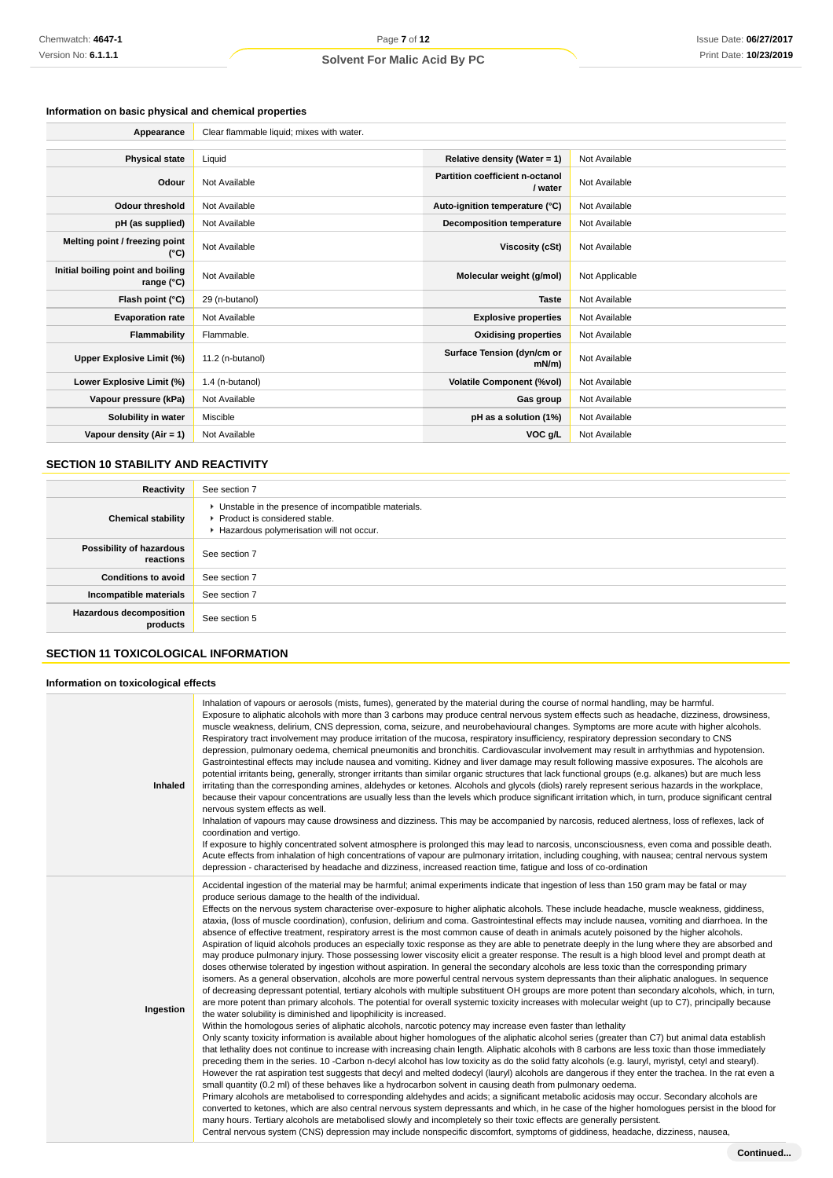# **Information on basic physical and chemical properties**

| Appearance                                      | Clear flammable liquid; mixes with water. |                                                   |                |
|-------------------------------------------------|-------------------------------------------|---------------------------------------------------|----------------|
|                                                 |                                           |                                                   |                |
| <b>Physical state</b>                           | Liquid                                    | Relative density (Water = $1$ )                   | Not Available  |
| Odour                                           | Not Available                             | <b>Partition coefficient n-octanol</b><br>/ water | Not Available  |
| <b>Odour threshold</b>                          | Not Available                             | Auto-ignition temperature (°C)                    | Not Available  |
| pH (as supplied)                                | Not Available                             | <b>Decomposition temperature</b>                  | Not Available  |
| Melting point / freezing point<br>(°C)          | Not Available                             | Viscosity (cSt)                                   | Not Available  |
| Initial boiling point and boiling<br>range (°C) | Not Available                             | Molecular weight (g/mol)                          | Not Applicable |
| Flash point (°C)                                | 29 (n-butanol)                            | <b>Taste</b>                                      | Not Available  |
| <b>Evaporation rate</b>                         | Not Available                             | <b>Explosive properties</b>                       | Not Available  |
| Flammability                                    | Flammable.                                | <b>Oxidising properties</b>                       | Not Available  |
| Upper Explosive Limit (%)                       | 11.2 (n-butanol)                          | Surface Tension (dyn/cm or<br>mN/m                | Not Available  |
| Lower Explosive Limit (%)                       | 1.4 (n-butanol)                           | <b>Volatile Component (%vol)</b>                  | Not Available  |
| Vapour pressure (kPa)                           | Not Available                             | Gas group                                         | Not Available  |
| Solubility in water                             | Miscible                                  | pH as a solution (1%)                             | Not Available  |
| Vapour density (Air = 1)                        | Not Available                             | VOC g/L                                           | Not Available  |

## **SECTION 10 STABILITY AND REACTIVITY**

| Reactivity                                 | See section 7                                                                                                                        |
|--------------------------------------------|--------------------------------------------------------------------------------------------------------------------------------------|
| <b>Chemical stability</b>                  | • Unstable in the presence of incompatible materials.<br>▶ Product is considered stable.<br>Hazardous polymerisation will not occur. |
| Possibility of hazardous<br>reactions      | See section 7                                                                                                                        |
| <b>Conditions to avoid</b>                 | See section 7                                                                                                                        |
| Incompatible materials                     | See section 7                                                                                                                        |
| <b>Hazardous decomposition</b><br>products | See section 5                                                                                                                        |

# **SECTION 11 TOXICOLOGICAL INFORMATION**

### **Information on toxicological effects**

| Inhaled   | Inhalation of vapours or aerosols (mists, fumes), generated by the material during the course of normal handling, may be harmful.<br>Exposure to aliphatic alcohols with more than 3 carbons may produce central nervous system effects such as headache, dizziness, drowsiness,<br>muscle weakness, delirium, CNS depression, coma, seizure, and neurobehavioural changes. Symptoms are more acute with higher alcohols.<br>Respiratory tract involvement may produce irritation of the mucosa, respiratory insufficiency, respiratory depression secondary to CNS<br>depression, pulmonary oedema, chemical pneumonitis and bronchitis. Cardiovascular involvement may result in arrhythmias and hypotension.<br>Gastrointestinal effects may include nausea and vomiting. Kidney and liver damage may result following massive exposures. The alcohols are<br>potential irritants being, generally, stronger irritants than similar organic structures that lack functional groups (e.g. alkanes) but are much less<br>irritating than the corresponding amines, aldehydes or ketones. Alcohols and glycols (diols) rarely represent serious hazards in the workplace,<br>because their vapour concentrations are usually less than the levels which produce significant irritation which, in turn, produce significant central<br>nervous system effects as well.<br>Inhalation of vapours may cause drowsiness and dizziness. This may be accompanied by narcosis, reduced alertness, loss of reflexes, lack of<br>coordination and vertigo.<br>If exposure to highly concentrated solvent atmosphere is prolonged this may lead to narcosis, unconsciousness, even coma and possible death.<br>Acute effects from inhalation of high concentrations of vapour are pulmonary irritation, including coughing, with nausea; central nervous system<br>depression - characterised by headache and dizziness, increased reaction time, fatique and loss of co-ordination                                                                                                                                                                                                                                                                                                                                                                                                                                                                                                                                                                                                                                                                                                                                                                                                                                                                                                                                                                                                                                                                                      |
|-----------|----------------------------------------------------------------------------------------------------------------------------------------------------------------------------------------------------------------------------------------------------------------------------------------------------------------------------------------------------------------------------------------------------------------------------------------------------------------------------------------------------------------------------------------------------------------------------------------------------------------------------------------------------------------------------------------------------------------------------------------------------------------------------------------------------------------------------------------------------------------------------------------------------------------------------------------------------------------------------------------------------------------------------------------------------------------------------------------------------------------------------------------------------------------------------------------------------------------------------------------------------------------------------------------------------------------------------------------------------------------------------------------------------------------------------------------------------------------------------------------------------------------------------------------------------------------------------------------------------------------------------------------------------------------------------------------------------------------------------------------------------------------------------------------------------------------------------------------------------------------------------------------------------------------------------------------------------------------------------------------------------------------------------------------------------------------------------------------------------------------------------------------------------------------------------------------------------------------------------------------------------------------------------------------------------------------------------------------------------------------------------------------------------------------------------------------------------------------------------------------------------------------------------------------------------------------------------------------------------------------------------------------------------------------------------------------------------------------------------------------------------------------------------------------------------------------------------------------------------------------------------------------------------------------------------------------------------------------------------------------------------------------------------------------------------------------|
| Ingestion | Accidental ingestion of the material may be harmful; animal experiments indicate that ingestion of less than 150 gram may be fatal or may<br>produce serious damage to the health of the individual.<br>Effects on the nervous system characterise over-exposure to higher aliphatic alcohols. These include headache, muscle weakness, giddiness,<br>ataxia, (loss of muscle coordination), confusion, delirium and coma. Gastrointestinal effects may include nausea, vomiting and diarrhoea. In the<br>absence of effective treatment, respiratory arrest is the most common cause of death in animals acutely poisoned by the higher alcohols.<br>Aspiration of liquid alcohols produces an especially toxic response as they are able to penetrate deeply in the lung where they are absorbed and<br>may produce pulmonary injury. Those possessing lower viscosity elicit a greater response. The result is a high blood level and prompt death at<br>doses otherwise tolerated by ingestion without aspiration. In general the secondary alcohols are less toxic than the corresponding primary<br>isomers. As a general observation, alcohols are more powerful central nervous system depressants than their aliphatic analogues. In sequence<br>of decreasing depressant potential, tertiary alcohols with multiple substituent OH groups are more potent than secondary alcohols, which, in turn,<br>are more potent than primary alcohols. The potential for overall systemic toxicity increases with molecular weight (up to C7), principally because<br>the water solubility is diminished and lipophilicity is increased.<br>Within the homologous series of aliphatic alcohols, narcotic potency may increase even faster than lethality<br>Only scanty toxicity information is available about higher homologues of the aliphatic alcohol series (greater than C7) but animal data establish<br>that lethality does not continue to increase with increasing chain length. Aliphatic alcohols with 8 carbons are less toxic than those immediately<br>preceding them in the series. 10 -Carbon n-decyl alcohol has low toxicity as do the solid fatty alcohols (e.g. lauryl, myristyl, cetyl and stearyl).<br>However the rat aspiration test suggests that decyl and melted dodecyl (lauryl) alcohols are dangerous if they enter the trachea. In the rat even a<br>small quantity (0.2 ml) of these behaves like a hydrocarbon solvent in causing death from pulmonary oedema.<br>Primary alcohols are metabolised to corresponding aldehydes and acids; a significant metabolic acidosis may occur. Secondary alcohols are<br>converted to ketones, which are also central nervous system depressants and which, in he case of the higher homologues persist in the blood for<br>many hours. Tertiary alcohols are metabolised slowly and incompletely so their toxic effects are generally persistent.<br>Central nervous system (CNS) depression may include nonspecific discomfort, symptoms of giddiness, headache, dizziness, nausea, |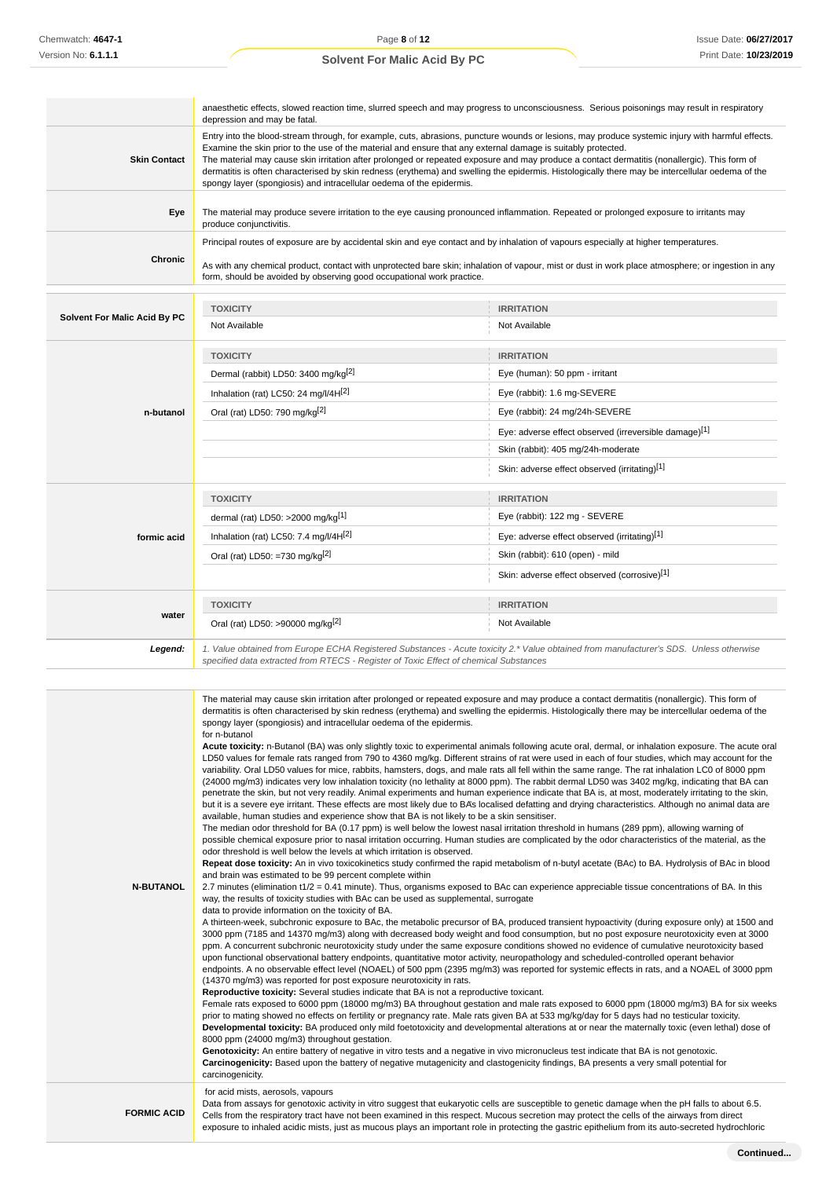|                                     | anaesthetic effects, slowed reaction time, slurred speech and may progress to unconsciousness. Serious poisonings may result in respiratory<br>depression and may be fatal.                                                                                                                                                                                                                                                                                                                                                                                                                                                                  |                                                       |  |
|-------------------------------------|----------------------------------------------------------------------------------------------------------------------------------------------------------------------------------------------------------------------------------------------------------------------------------------------------------------------------------------------------------------------------------------------------------------------------------------------------------------------------------------------------------------------------------------------------------------------------------------------------------------------------------------------|-------------------------------------------------------|--|
| <b>Skin Contact</b>                 | Entry into the blood-stream through, for example, cuts, abrasions, puncture wounds or lesions, may produce systemic injury with harmful effects.<br>Examine the skin prior to the use of the material and ensure that any external damage is suitably protected.<br>The material may cause skin irritation after prolonged or repeated exposure and may produce a contact dermatitis (nonallergic). This form of<br>dermatitis is often characterised by skin redness (erythema) and swelling the epidermis. Histologically there may be intercellular oedema of the<br>spongy layer (spongiosis) and intracellular oedema of the epidermis. |                                                       |  |
| Eye                                 | The material may produce severe irritation to the eye causing pronounced inflammation. Repeated or prolonged exposure to irritants may<br>produce conjunctivitis.                                                                                                                                                                                                                                                                                                                                                                                                                                                                            |                                                       |  |
| Chronic                             | Principal routes of exposure are by accidental skin and eye contact and by inhalation of vapours especially at higher temperatures.<br>As with any chemical product, contact with unprotected bare skin; inhalation of vapour, mist or dust in work place atmosphere; or ingestion in any<br>form, should be avoided by observing good occupational work practice.                                                                                                                                                                                                                                                                           |                                                       |  |
|                                     | <b>TOXICITY</b>                                                                                                                                                                                                                                                                                                                                                                                                                                                                                                                                                                                                                              | <b>IRRITATION</b>                                     |  |
| <b>Solvent For Malic Acid By PC</b> | Not Available                                                                                                                                                                                                                                                                                                                                                                                                                                                                                                                                                                                                                                | Not Available                                         |  |
|                                     | <b>TOXICITY</b>                                                                                                                                                                                                                                                                                                                                                                                                                                                                                                                                                                                                                              | <b>IRRITATION</b>                                     |  |
|                                     | Dermal (rabbit) LD50: 3400 mg/kg <sup>[2]</sup>                                                                                                                                                                                                                                                                                                                                                                                                                                                                                                                                                                                              | Eye (human): 50 ppm - irritant                        |  |
|                                     | Inhalation (rat) LC50: 24 mg/l/4H[2]                                                                                                                                                                                                                                                                                                                                                                                                                                                                                                                                                                                                         | Eye (rabbit): 1.6 mg-SEVERE                           |  |
| n-butanol                           | Oral (rat) LD50: 790 mg/kg <sup>[2]</sup>                                                                                                                                                                                                                                                                                                                                                                                                                                                                                                                                                                                                    | Eye (rabbit): 24 mg/24h-SEVERE                        |  |
|                                     |                                                                                                                                                                                                                                                                                                                                                                                                                                                                                                                                                                                                                                              | Eye: adverse effect observed (irreversible damage)[1] |  |
|                                     |                                                                                                                                                                                                                                                                                                                                                                                                                                                                                                                                                                                                                                              | Skin (rabbit): 405 mg/24h-moderate                    |  |
|                                     |                                                                                                                                                                                                                                                                                                                                                                                                                                                                                                                                                                                                                                              | Skin: adverse effect observed (irritating)[1]         |  |
|                                     | <b>TOXICITY</b>                                                                                                                                                                                                                                                                                                                                                                                                                                                                                                                                                                                                                              | <b>IRRITATION</b>                                     |  |
|                                     | dermal (rat) LD50: >2000 mg/kg <sup>[1]</sup>                                                                                                                                                                                                                                                                                                                                                                                                                                                                                                                                                                                                | Eye (rabbit): 122 mg - SEVERE                         |  |
| formic acid                         | Inhalation (rat) LC50: 7.4 mg/l/4H[2]                                                                                                                                                                                                                                                                                                                                                                                                                                                                                                                                                                                                        | Eye: adverse effect observed (irritating)[1]          |  |
|                                     | Oral (rat) LD50: =730 mg/kg $[2]$                                                                                                                                                                                                                                                                                                                                                                                                                                                                                                                                                                                                            | Skin (rabbit): 610 (open) - mild                      |  |
|                                     |                                                                                                                                                                                                                                                                                                                                                                                                                                                                                                                                                                                                                                              | Skin: adverse effect observed (corrosive)[1]          |  |
|                                     | <b>TOXICITY</b>                                                                                                                                                                                                                                                                                                                                                                                                                                                                                                                                                                                                                              | <b>IRRITATION</b>                                     |  |
| water                               | Oral (rat) LD50: >90000 mg/kg[2]                                                                                                                                                                                                                                                                                                                                                                                                                                                                                                                                                                                                             | Not Available                                         |  |
|                                     | $d = C D C$ $l = l = l = n$<br>$1/a b$ , $a = b$ , $b = a$ , $d = a$                                                                                                                                                                                                                                                                                                                                                                                                                                                                                                                                                                         |                                                       |  |

**Legend:** 1. Value obtained from Europe ECHA Registered Substances - Acute toxicity 2.\* Value obtained from manufacturer's SDS. Unless otherwise specified data extracted from RTECS - Register of Toxic Effect of chemical Substances

| <b>N-BUTANOL</b>   | The material may cause skin irritation after prolonged or repeated exposure and may produce a contact dermatitis (nonallergic). This form of<br>dermatitis is often characterised by skin redness (erythema) and swelling the epidermis. Histologically there may be intercellular oedema of the<br>spongy layer (spongiosis) and intracellular oedema of the epidermis.<br>for n-butanol<br>Acute toxicity: n-Butanol (BA) was only slightly toxic to experimental animals following acute oral, dermal, or inhalation exposure. The acute oral<br>LD50 values for female rats ranged from 790 to 4360 mg/kg. Different strains of rat were used in each of four studies, which may account for the<br>variability. Oral LD50 values for mice, rabbits, hamsters, dogs, and male rats all fell within the same range. The rat inhalation LC0 of 8000 ppm<br>(24000 mg/m3) indicates very low inhalation toxicity (no lethality at 8000 ppm). The rabbit dermal LD50 was 3402 mg/kg, indicating that BA can<br>penetrate the skin, but not very readily. Animal experiments and human experience indicate that BA is, at most, moderately irritating to the skin,<br>but it is a severe eye irritant. These effects are most likely due to BA's localised defatting and drying characteristics. Although no animal data are<br>available, human studies and experience show that BA is not likely to be a skin sensitiser.<br>The median odor threshold for BA (0.17 ppm) is well below the lowest nasal irritation threshold in humans (289 ppm), allowing warning of<br>possible chemical exposure prior to nasal irritation occurring. Human studies are complicated by the odor characteristics of the material, as the<br>odor threshold is well below the levels at which irritation is observed.<br>Repeat dose toxicity: An in vivo toxicokinetics study confirmed the rapid metabolism of n-butyl acetate (BAc) to BA. Hydrolysis of BAc in blood<br>and brain was estimated to be 99 percent complete within<br>2.7 minutes (elimination t1/2 = 0.41 minute). Thus, organisms exposed to BAc can experience appreciable tissue concentrations of BA. In this<br>way, the results of toxicity studies with BAc can be used as supplemental, surrogate<br>data to provide information on the toxicity of BA.<br>A thirteen-week, subchronic exposure to BAc, the metabolic precursor of BA, produced transient hypoactivity (during exposure only) at 1500 and<br>3000 ppm (7185 and 14370 mg/m3) along with decreased body weight and food consumption, but no post exposure neurotoxicity even at 3000<br>ppm. A concurrent subchronic neurotoxicity study under the same exposure conditions showed no evidence of cumulative neurotoxicity based<br>upon functional observational battery endpoints, quantitative motor activity, neuropathology and scheduled-controlled operant behavior<br>endpoints. A no observable effect level (NOAEL) of 500 ppm (2395 mg/m3) was reported for systemic effects in rats, and a NOAEL of 3000 ppm<br>(14370 mg/m3) was reported for post exposure neurotoxicity in rats.<br>Reproductive toxicity: Several studies indicate that BA is not a reproductive toxicant.<br>Female rats exposed to 6000 ppm (18000 mg/m3) BA throughout gestation and male rats exposed to 6000 ppm (18000 mg/m3) BA for six weeks<br>prior to mating showed no effects on fertility or pregnancy rate. Male rats given BA at 533 mg/kg/day for 5 days had no testicular toxicity.<br>Developmental toxicity: BA produced only mild foetotoxicity and developmental alterations at or near the maternally toxic (even lethal) dose of<br>8000 ppm (24000 mg/m3) throughout gestation.<br>Genotoxicity: An entire battery of negative in vitro tests and a negative in vivo micronucleus test indicate that BA is not genotoxic.<br>Carcinogenicity: Based upon the battery of negative mutagenicity and clastogenicity findings, BA presents a very small potential for<br>carcinogenicity. |
|--------------------|---------------------------------------------------------------------------------------------------------------------------------------------------------------------------------------------------------------------------------------------------------------------------------------------------------------------------------------------------------------------------------------------------------------------------------------------------------------------------------------------------------------------------------------------------------------------------------------------------------------------------------------------------------------------------------------------------------------------------------------------------------------------------------------------------------------------------------------------------------------------------------------------------------------------------------------------------------------------------------------------------------------------------------------------------------------------------------------------------------------------------------------------------------------------------------------------------------------------------------------------------------------------------------------------------------------------------------------------------------------------------------------------------------------------------------------------------------------------------------------------------------------------------------------------------------------------------------------------------------------------------------------------------------------------------------------------------------------------------------------------------------------------------------------------------------------------------------------------------------------------------------------------------------------------------------------------------------------------------------------------------------------------------------------------------------------------------------------------------------------------------------------------------------------------------------------------------------------------------------------------------------------------------------------------------------------------------------------------------------------------------------------------------------------------------------------------------------------------------------------------------------------------------------------------------------------------------------------------------------------------------------------------------------------------------------------------------------------------------------------------------------------------------------------------------------------------------------------------------------------------------------------------------------------------------------------------------------------------------------------------------------------------------------------------------------------------------------------------------------------------------------------------------------------------------------------------------------------------------------------------------------------------------------------------------------------------------------------------------------------------------------------------------------------------------------------------------------------------------------------------------------------------------------------------------------------------------------------------------------------------------------------------------------------------------------------------------------------------------------------------------------------------------------------------------------------------------------------------------------------------------------------------------------------------------------------------------------------------------------------------------------------------------|
| <b>FORMIC ACID</b> | for acid mists, aerosols, vapours<br>Data from assays for genotoxic activity in vitro suggest that eukaryotic cells are susceptible to genetic damage when the pH falls to about 6.5.<br>Cells from the respiratory tract have not been examined in this respect. Mucous secretion may protect the cells of the airways from direct<br>exposure to inhaled acidic mists, just as mucous plays an important role in protecting the gastric epithelium from its auto-secreted hydrochloric                                                                                                                                                                                                                                                                                                                                                                                                                                                                                                                                                                                                                                                                                                                                                                                                                                                                                                                                                                                                                                                                                                                                                                                                                                                                                                                                                                                                                                                                                                                                                                                                                                                                                                                                                                                                                                                                                                                                                                                                                                                                                                                                                                                                                                                                                                                                                                                                                                                                                                                                                                                                                                                                                                                                                                                                                                                                                                                                                                                                                                                                                                                                                                                                                                                                                                                                                                                                                                                                                                                                  |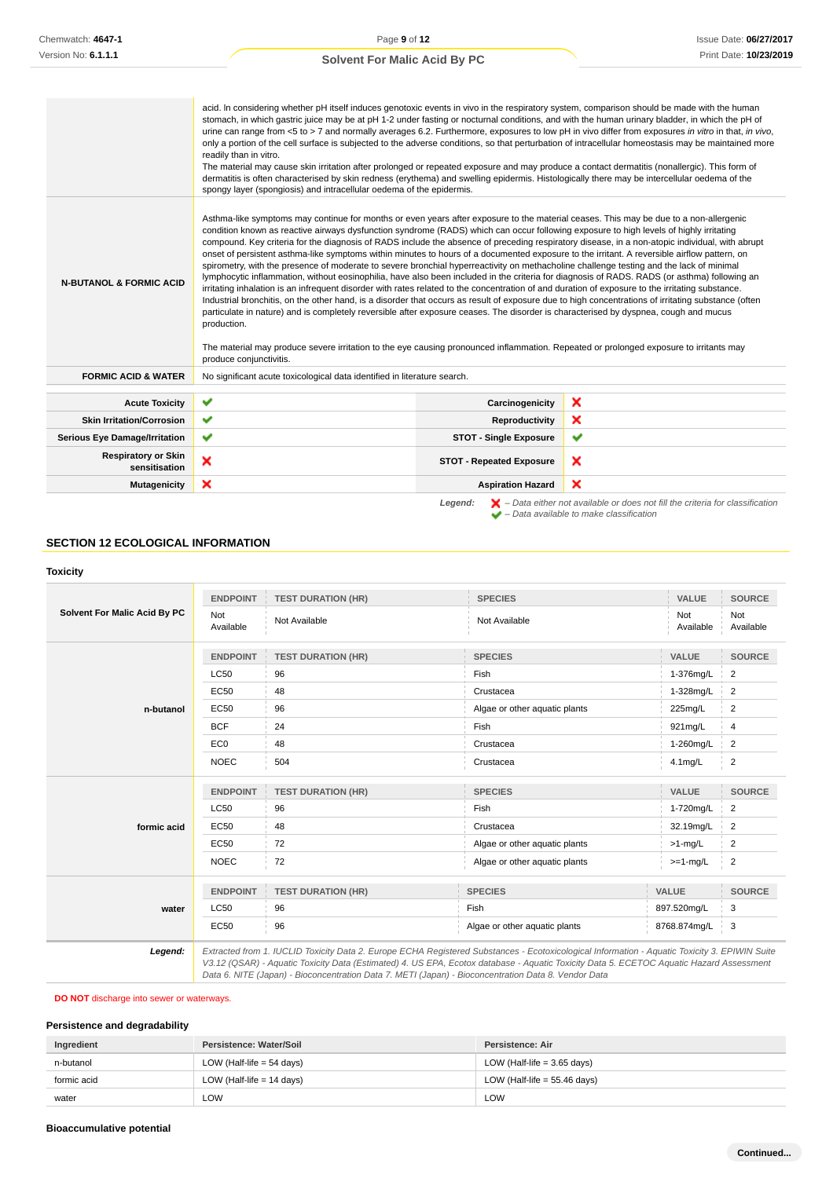| <b>Solvent For Malic Acid By PC</b> |  |  |  |  |  |
|-------------------------------------|--|--|--|--|--|
|-------------------------------------|--|--|--|--|--|

|                                             | acid. In considering whether pH itself induces genotoxic events in vivo in the respiratory system, comparison should be made with the human<br>stomach, in which gastric juice may be at pH 1-2 under fasting or nocturnal conditions, and with the human urinary bladder, in which the pH of<br>urine can range from <5 to > 7 and normally averages 6.2. Furthermore, exposures to low pH in vivo differ from exposures in vitro in that, in vivo,<br>only a portion of the cell surface is subjected to the adverse conditions, so that perturbation of intracellular homeostasis may be maintained more<br>readily than in vitro.<br>The material may cause skin irritation after prolonged or repeated exposure and may produce a contact dermatitis (nonallergic). This form of<br>dermatitis is often characterised by skin redness (erythema) and swelling epidermis. Histologically there may be intercellular oedema of the<br>spongy layer (spongiosis) and intracellular oedema of the epidermis.                                                                                                                                                                                                                                                                                                                                                                                                                                                                                                      |                                 |                                                                                                                                                                     |
|---------------------------------------------|--------------------------------------------------------------------------------------------------------------------------------------------------------------------------------------------------------------------------------------------------------------------------------------------------------------------------------------------------------------------------------------------------------------------------------------------------------------------------------------------------------------------------------------------------------------------------------------------------------------------------------------------------------------------------------------------------------------------------------------------------------------------------------------------------------------------------------------------------------------------------------------------------------------------------------------------------------------------------------------------------------------------------------------------------------------------------------------------------------------------------------------------------------------------------------------------------------------------------------------------------------------------------------------------------------------------------------------------------------------------------------------------------------------------------------------------------------------------------------------------------------------------|---------------------------------|---------------------------------------------------------------------------------------------------------------------------------------------------------------------|
| <b>N-BUTANOL &amp; FORMIC ACID</b>          | Asthma-like symptoms may continue for months or even years after exposure to the material ceases. This may be due to a non-allergenic<br>condition known as reactive airways dysfunction syndrome (RADS) which can occur following exposure to high levels of highly irritating<br>compound. Key criteria for the diagnosis of RADS include the absence of preceding respiratory disease, in a non-atopic individual, with abrupt<br>onset of persistent asthma-like symptoms within minutes to hours of a documented exposure to the irritant. A reversible airflow pattern, on<br>spirometry, with the presence of moderate to severe bronchial hyperreactivity on methacholine challenge testing and the lack of minimal<br>lymphocytic inflammation, without eosinophilia, have also been included in the criteria for diagnosis of RADS. RADS (or asthma) following an<br>irritating inhalation is an infrequent disorder with rates related to the concentration of and duration of exposure to the irritating substance.<br>Industrial bronchitis, on the other hand, is a disorder that occurs as result of exposure due to high concentrations of irritating substance (often<br>particulate in nature) and is completely reversible after exposure ceases. The disorder is characterised by dyspnea, cough and mucus<br>production.<br>The material may produce severe irritation to the eye causing pronounced inflammation. Repeated or prolonged exposure to irritants may<br>produce conjunctivitis. |                                 |                                                                                                                                                                     |
| <b>FORMIC ACID &amp; WATER</b>              | No significant acute toxicological data identified in literature search.                                                                                                                                                                                                                                                                                                                                                                                                                                                                                                                                                                                                                                                                                                                                                                                                                                                                                                                                                                                                                                                                                                                                                                                                                                                                                                                                                                                                                                           |                                 |                                                                                                                                                                     |
| <b>Acute Toxicity</b>                       | ✔                                                                                                                                                                                                                                                                                                                                                                                                                                                                                                                                                                                                                                                                                                                                                                                                                                                                                                                                                                                                                                                                                                                                                                                                                                                                                                                                                                                                                                                                                                                  | Carcinogenicity                 | ×                                                                                                                                                                   |
| <b>Skin Irritation/Corrosion</b>            | ✔                                                                                                                                                                                                                                                                                                                                                                                                                                                                                                                                                                                                                                                                                                                                                                                                                                                                                                                                                                                                                                                                                                                                                                                                                                                                                                                                                                                                                                                                                                                  | Reproductivity                  | ×                                                                                                                                                                   |
| <b>Serious Eye Damage/Irritation</b>        | ✔                                                                                                                                                                                                                                                                                                                                                                                                                                                                                                                                                                                                                                                                                                                                                                                                                                                                                                                                                                                                                                                                                                                                                                                                                                                                                                                                                                                                                                                                                                                  | <b>STOT - Single Exposure</b>   | ✔                                                                                                                                                                   |
| <b>Respiratory or Skin</b><br>sensitisation | ×                                                                                                                                                                                                                                                                                                                                                                                                                                                                                                                                                                                                                                                                                                                                                                                                                                                                                                                                                                                                                                                                                                                                                                                                                                                                                                                                                                                                                                                                                                                  | <b>STOT - Repeated Exposure</b> | ×                                                                                                                                                                   |
| <b>Mutagenicity</b>                         | ×                                                                                                                                                                                                                                                                                                                                                                                                                                                                                                                                                                                                                                                                                                                                                                                                                                                                                                                                                                                                                                                                                                                                                                                                                                                                                                                                                                                                                                                                                                                  | <b>Aspiration Hazard</b>        | ×                                                                                                                                                                   |
|                                             |                                                                                                                                                                                                                                                                                                                                                                                                                                                                                                                                                                                                                                                                                                                                                                                                                                                                                                                                                                                                                                                                                                                                                                                                                                                                                                                                                                                                                                                                                                                    | Legend:                         | $\blacktriangleright$ - Data either not available or does not fill the criteria for classification<br>$\blacktriangleright$ - Data available to make classification |

## **SECTION 12 ECOLOGICAL INFORMATION**

# **Toxicity**

| Solvent For Malic Acid By PC | <b>ENDPOINT</b>  | <b>TEST DURATION (HR)</b> | <b>SPECIES</b>                                                                                                                                | VALUE            | <b>SOURCE</b>    |
|------------------------------|------------------|---------------------------|-----------------------------------------------------------------------------------------------------------------------------------------------|------------------|------------------|
|                              | Not<br>Available | Not Available             | Not Available                                                                                                                                 | Not<br>Available | Not<br>Available |
|                              | <b>ENDPOINT</b>  | <b>TEST DURATION (HR)</b> | <b>SPECIES</b>                                                                                                                                | <b>VALUE</b>     | <b>SOURCE</b>    |
|                              | <b>LC50</b>      | 96                        | Fish                                                                                                                                          | 1-376mg/L        | $\overline{c}$   |
|                              | <b>EC50</b>      | 48                        | Crustacea                                                                                                                                     | 1-328mg/L        | 2                |
| n-butanol                    | <b>EC50</b>      | 96                        | Algae or other aquatic plants                                                                                                                 | 225mg/L          | $\overline{c}$   |
|                              | <b>BCF</b>       | 24                        | Fish                                                                                                                                          | 921mg/L          | 4                |
|                              | EC <sub>0</sub>  | 48                        | Crustacea                                                                                                                                     | 1-260mg/L        | 2                |
|                              | <b>NOEC</b>      | 504                       | Crustacea                                                                                                                                     | $4.1$ mg/L       | $\overline{2}$   |
|                              | <b>ENDPOINT</b>  | <b>TEST DURATION (HR)</b> | <b>SPECIES</b>                                                                                                                                | <b>VALUE</b>     | <b>SOURCE</b>    |
|                              | <b>LC50</b>      | 96                        | Fish                                                                                                                                          | 1-720mg/L        | 2                |
| formic acid                  | <b>EC50</b>      | 48                        | Crustacea                                                                                                                                     | 32.19mg/L        | 2                |
|                              | <b>EC50</b>      | 72                        | Algae or other aquatic plants                                                                                                                 | $>1$ -mg/L       | 2                |
|                              | <b>NOEC</b>      | 72                        | Algae or other aquatic plants                                                                                                                 | $>=1-mg/L$       | $\overline{c}$   |
|                              | <b>ENDPOINT</b>  | <b>TEST DURATION (HR)</b> | <b>SPECIES</b>                                                                                                                                | <b>VALUE</b>     | <b>SOURCE</b>    |
| water                        | <b>LC50</b>      | 96                        | Fish                                                                                                                                          | 897.520mg/L      | 3                |
|                              | <b>EC50</b>      | 96                        | Algae or other aquatic plants                                                                                                                 | 8768.874mg/L     | 3                |
| Legend:                      |                  |                           | Extracted from 1. IUCLID Toxicity Data 2. Europe ECHA Registered Substances - Ecotoxicological Information - Aquatic Toxicity 3. EPIWIN Suite |                  |                  |

V3.12 (QSAR) - Aquatic Toxicity Data (Estimated) 4. US EPA, Ecotox database - Aquatic Toxicity Data 5. ECETOC Aquatic Hazard Assessment Data 6. NITE (Japan) - Bioconcentration Data 7. METI (Japan) - Bioconcentration Data 8. Vendor Data

## **DO NOT** discharge into sewer or waterways.

### **Persistence and degradability**

| Ingredient  | Persistence: Water/Soil     | Persistence: Air               |
|-------------|-----------------------------|--------------------------------|
| n-butanol   | LOW (Half-life $=$ 54 days) | LOW (Half-life = $3.65$ days)  |
| formic acid | LOW (Half-life $= 14$ days) | LOW (Half-life = $55.46$ days) |
| water       | LOW                         | LOW                            |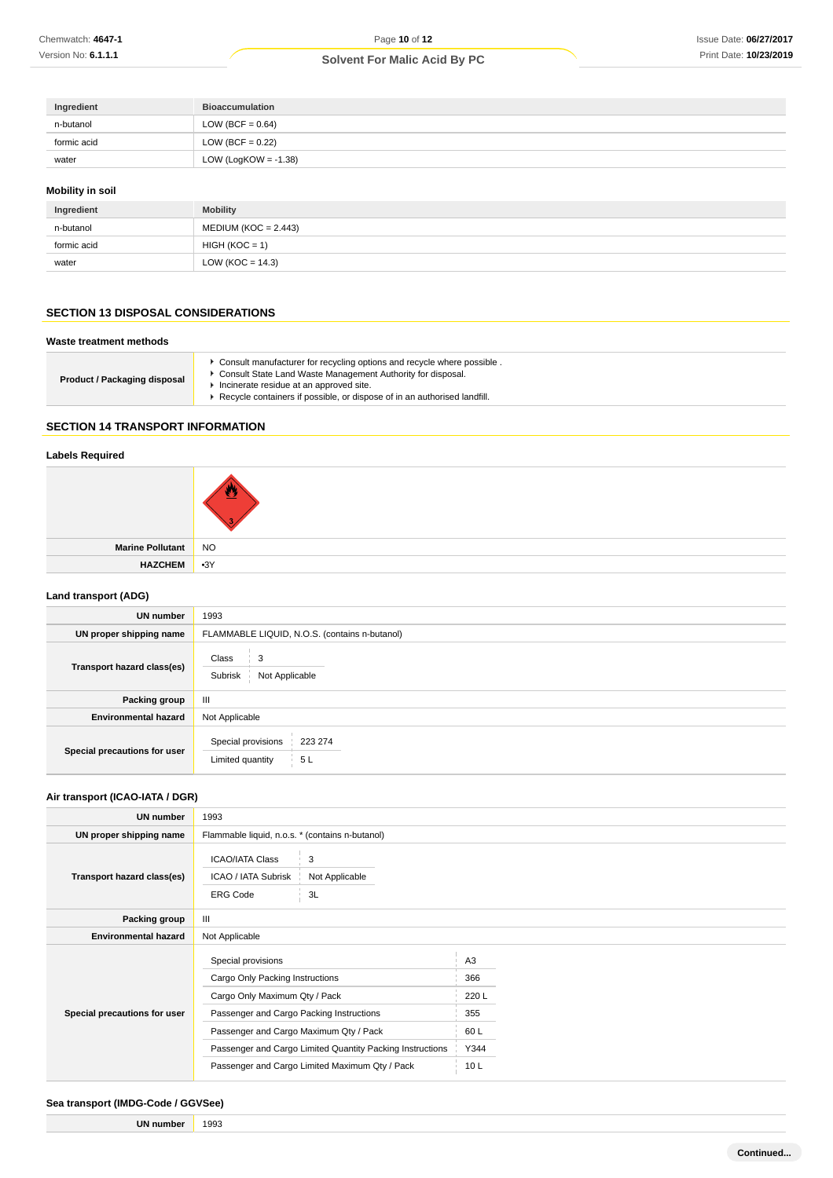| Ingredient  | <b>Bioaccumulation</b>  |
|-------------|-------------------------|
| n-butanol   | LOW (BCF = $0.64$ )     |
| formic acid | LOW (BCF = $0.22$ )     |
| water       | LOW (LogKOW = $-1.38$ ) |

## **Mobility in soil**

| Ingredient  | <b>Mobility</b>        |
|-------------|------------------------|
| n-butanol   | $MEDIUM (KOC = 2.443)$ |
| formic acid | $HIGH (KOC = 1)$       |
| water       | LOW (KOC = $14.3$ )    |

# **SECTION 13 DISPOSAL CONSIDERATIONS**

### **Waste treatment methods**

| <b>Product / Packaging disposal</b> | ► Consult manufacturer for recycling options and recycle where possible.<br>• Consult State Land Waste Management Authority for disposal.<br>Incinerate residue at an approved site.<br>Recycle containers if possible, or dispose of in an authorised landfill. |
|-------------------------------------|------------------------------------------------------------------------------------------------------------------------------------------------------------------------------------------------------------------------------------------------------------------|
|-------------------------------------|------------------------------------------------------------------------------------------------------------------------------------------------------------------------------------------------------------------------------------------------------------------|

# **SECTION 14 TRANSPORT INFORMATION**

# **Labels Required**

| Marine Pollutant NO |  |
|---------------------|--|
| HAZCHEM 3Y          |  |
|                     |  |

## **Land transport (ADG)**

| <b>UN number</b>             | 1993                                                    |  |
|------------------------------|---------------------------------------------------------|--|
| UN proper shipping name      | FLAMMABLE LIQUID, N.O.S. (contains n-butanol)           |  |
| Transport hazard class(es)   | Class<br>3<br>Subrisk<br>Not Applicable                 |  |
| Packing group                | $\mathbf{III}$                                          |  |
| <b>Environmental hazard</b>  | Not Applicable                                          |  |
| Special precautions for user | Special provisions<br>223 274<br>Limited quantity<br>5L |  |

## **Air transport (ICAO-IATA / DGR)**

| <b>UN number</b>             | 1993                                                                                                                                                                                                                                      |  |                                                      |  |
|------------------------------|-------------------------------------------------------------------------------------------------------------------------------------------------------------------------------------------------------------------------------------------|--|------------------------------------------------------|--|
| UN proper shipping name      | Flammable liquid, n.o.s. * (contains n-butanol)                                                                                                                                                                                           |  |                                                      |  |
| Transport hazard class(es)   | <b>ICAO/IATA Class</b><br>3<br>ICAO / IATA Subrisk<br>Not Applicable<br><b>ERG Code</b><br>3L                                                                                                                                             |  |                                                      |  |
| Packing group                | Ш                                                                                                                                                                                                                                         |  |                                                      |  |
| <b>Environmental hazard</b>  | Not Applicable                                                                                                                                                                                                                            |  |                                                      |  |
| Special precautions for user | Special provisions<br>Cargo Only Packing Instructions<br>Cargo Only Maximum Qty / Pack<br>Passenger and Cargo Packing Instructions<br>Passenger and Cargo Maximum Qty / Pack<br>Passenger and Cargo Limited Quantity Packing Instructions |  | A <sub>3</sub><br>366<br>220 L<br>355<br>60L<br>Y344 |  |
|                              | Passenger and Cargo Limited Maximum Qty / Pack                                                                                                                                                                                            |  | 10 <sub>L</sub>                                      |  |

# **Sea transport (IMDG-Code / GGVSee)**

**UN number** 1993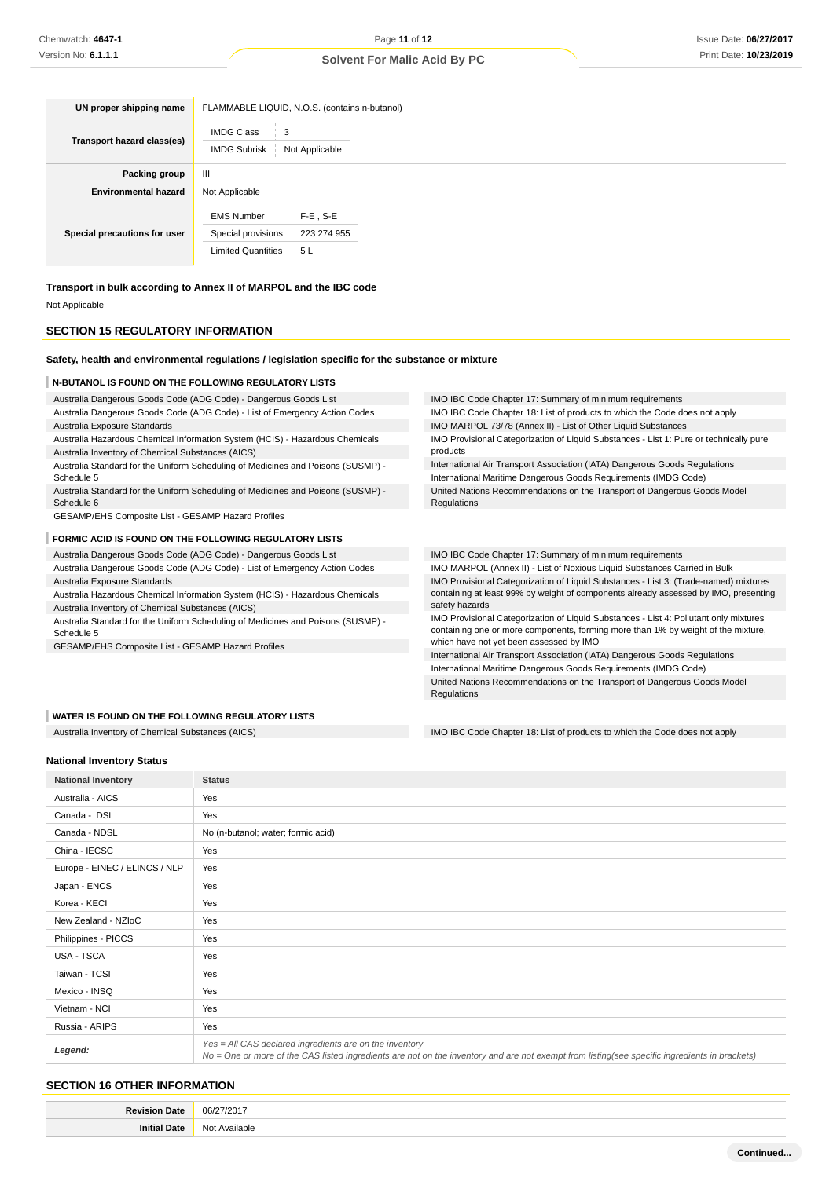| UN proper shipping name      | FLAMMABLE LIQUID, N.O.S. (contains n-butanol)                        |                                  |  |
|------------------------------|----------------------------------------------------------------------|----------------------------------|--|
| Transport hazard class(es)   | <b>IMDG Class</b><br>3<br>Not Applicable<br><b>IMDG Subrisk</b>      |                                  |  |
| Packing group                | Ш                                                                    |                                  |  |
| <b>Environmental hazard</b>  | Not Applicable                                                       |                                  |  |
| Special precautions for user | <b>EMS Number</b><br>Special provisions<br><b>Limited Quantities</b> | $F-E$ , S-E<br>223 274 955<br>5L |  |

Regulations

# **Transport in bulk according to Annex II of MARPOL and the IBC code**

Not Applicable

## **SECTION 15 REGULATORY INFORMATION**

### **Safety, health and environmental regulations / legislation specific for the substance or mixture**

#### **N-BUTANOL IS FOUND ON THE FOLLOWING REGULATORY LISTS**

Australia Dangerous Goods Code (ADG Code) - Dangerous Goods List

| Australia Dangerous Goods Code (ADG Code) - List of Emergency Action Codes |  |  |  |
|----------------------------------------------------------------------------|--|--|--|

Australia Exposure Standards

- Australia Hazardous Chemical Information System (HCIS) Hazardous Chemicals Australia Inventory of Chemical Substances (AICS)
- Australia Standard for the Uniform Scheduling of Medicines and Poisons (SUSMP) Schedule 5
- Australia Standard for the Uniform Scheduling of Medicines and Poisons (SUSMP) Schedule 6

GESAMP/EHS Composite List - GESAMP Hazard Profiles

#### **FORMIC ACID IS FOUND ON THE FOLLOWING REGULATORY LISTS**

Australia Dangerous Goods Code (ADG Code) - Dangerous Goods List

- Australia Dangerous Goods Code (ADG Code) List of Emergency Action Codes Australia Exposure Standards
- Australia Hazardous Chemical Information System (HCIS) Hazardous Chemicals Australia Inventory of Chemical Substances (AICS)
- Australia Standard for the Uniform Scheduling of Medicines and Poisons (SUSMP) Schedule 5

GESAMP/EHS Composite List - GESAMP Hazard Profiles

#### **WATER IS FOUND ON THE FOLLOWING REGULATORY LISTS**

IMO IBC Code Chapter 17: Summary of minimum requirements IMO IBC Code Chapter 18: List of products to which the Code does not apply IMO MARPOL 73/78 (Annex II) - List of Other Liquid Substances IMO Provisional Categorization of Liquid Substances - List 1: Pure or technically pure products International Air Transport Association (IATA) Dangerous Goods Regulations International Maritime Dangerous Goods Requirements (IMDG Code) United Nations Recommendations on the Transport of Dangerous Goods Model

IMO IBC Code Chapter 17: Summary of minimum requirements IMO MARPOL (Annex II) - List of Noxious Liquid Substances Carried in Bulk IMO Provisional Categorization of Liquid Substances - List 3: (Trade-named) mixtures containing at least 99% by weight of components already assessed by IMO, presenting safety hazards IMO Provisional Categorization of Liquid Substances - List 4: Pollutant only mixtures

containing one or more components, forming more than 1% by weight of the mixture, which have not yet been assessed by IMO

International Air Transport Association (IATA) Dangerous Goods Regulations International Maritime Dangerous Goods Requirements (IMDG Code) United Nations Recommendations on the Transport of Dangerous Goods Model Regulations

Australia Inventory of Chemical Substances (AICS) **IMO IBC Code Chapter 18: List of products to which the Code does not apply** 

#### **National Inventory Status**

| <b>National Inventory</b>     | <b>Status</b>                                                                                                                                                                                            |
|-------------------------------|----------------------------------------------------------------------------------------------------------------------------------------------------------------------------------------------------------|
| Australia - AICS              | Yes                                                                                                                                                                                                      |
| Canada - DSL                  | Yes                                                                                                                                                                                                      |
| Canada - NDSL                 | No (n-butanol; water; formic acid)                                                                                                                                                                       |
| China - IECSC                 | Yes                                                                                                                                                                                                      |
| Europe - EINEC / ELINCS / NLP | Yes                                                                                                                                                                                                      |
| Japan - ENCS                  | Yes                                                                                                                                                                                                      |
| Korea - KECI                  | Yes                                                                                                                                                                                                      |
| New Zealand - NZIoC           | Yes                                                                                                                                                                                                      |
| Philippines - PICCS           | Yes                                                                                                                                                                                                      |
| <b>USA - TSCA</b>             | Yes                                                                                                                                                                                                      |
| Taiwan - TCSI                 | Yes                                                                                                                                                                                                      |
| Mexico - INSQ                 | Yes                                                                                                                                                                                                      |
| Vietnam - NCI                 | Yes                                                                                                                                                                                                      |
| Russia - ARIPS                | Yes                                                                                                                                                                                                      |
| Legend:                       | Yes = All CAS declared ingredients are on the inventory<br>No = One or more of the CAS listed ingredients are not on the inventory and are not exempt from listing(see specific ingredients in brackets) |

### **SECTION 16 OTHER INFORMATION**

| D <sub>o</sub> | 0.04         |
|----------------|--------------|
| مەھ 7          | $\Omega$ .   |
| 1916           | Ν٨<br>ilable |